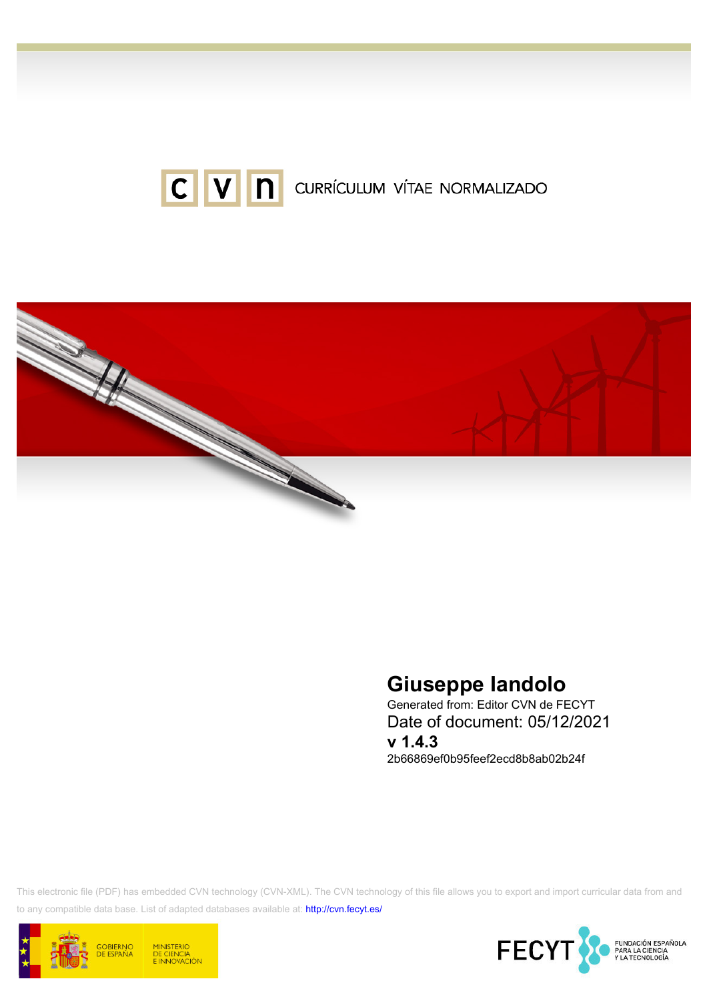



# Giuseppe Iandolo

Generated from: Editor CVN de FECYT Date of document: 05/12/2021 v 1.4.3 2b66869ef0b95feef2ecd8b8ab02b24f

This electronic file (PDF) has embedded CVN technology (CVN-XML). The CVN technology of this file allows you to export and import curricular data from and to any compatible data base. List of adapted databases available at:<http://cvn.fecyt.es/>



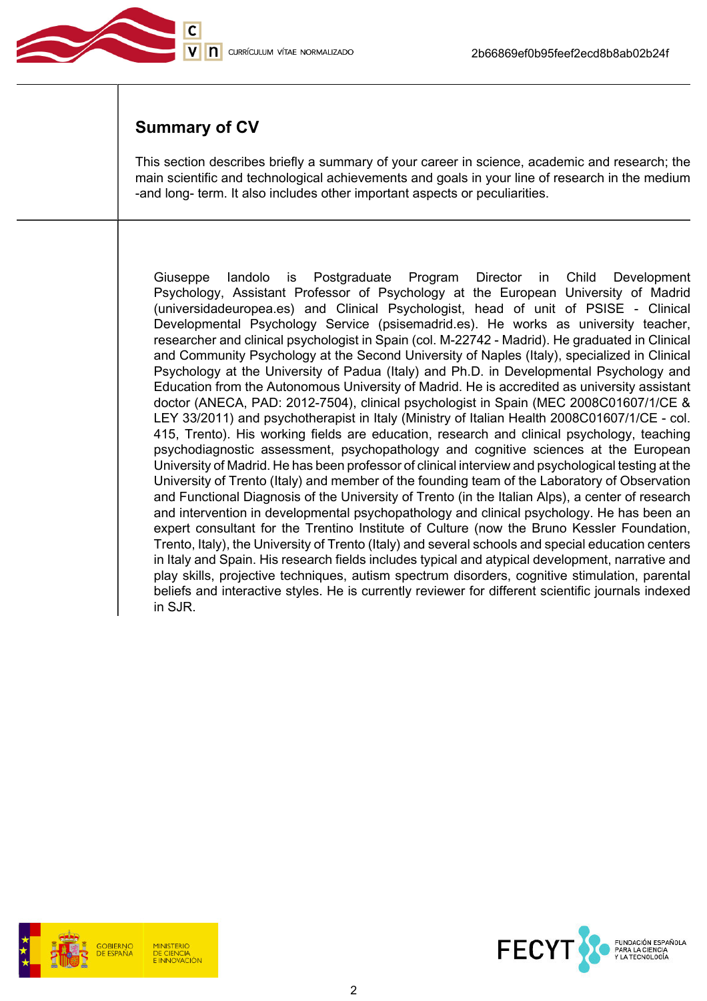

# Summary of CV

This section describes briefly a summary of your career in science, academic and research; the main scientific and technological achievements and goals in your line of research in the medium -and long- term. It also includes other important aspects or peculiarities.

Giuseppe Iandolo is Postgraduate Program Director in Child Development Psychology, Assistant Professor of Psychology at the European University of Madrid (universidadeuropea.es) and Clinical Psychologist, head of unit of PSISE - Clinical Developmental Psychology Service (psisemadrid.es). He works as university teacher, researcher and clinical psychologist in Spain (col. M-22742 - Madrid). He graduated in Clinical and Community Psychology at the Second University of Naples (Italy), specialized in Clinical Psychology at the University of Padua (Italy) and Ph.D. in Developmental Psychology and Education from the Autonomous University of Madrid. He is accredited as university assistant doctor (ANECA, PAD: 2012-7504), clinical psychologist in Spain (MEC 2008C01607/1/CE & LEY 33/2011) and psychotherapist in Italy (Ministry of Italian Health 2008C01607/1/CE - col. 415, Trento). His working fields are education, research and clinical psychology, teaching psychodiagnostic assessment, psychopathology and cognitive sciences at the European University of Madrid. He has been professor of clinical interview and psychological testing at the University of Trento (Italy) and member of the founding team of the Laboratory of Observation and Functional Diagnosis of the University of Trento (in the Italian Alps), a center of research and intervention in developmental psychopathology and clinical psychology. He has been an expert consultant for the Trentino Institute of Culture (now the Bruno Kessler Foundation, Trento, Italy), the University of Trento (Italy) and several schools and special education centers in Italy and Spain. His research fields includes typical and atypical development, narrative and play skills, projective techniques, autism spectrum disorders, cognitive stimulation, parental beliefs and interactive styles. He is currently reviewer for different scientific journals indexed in SJR.



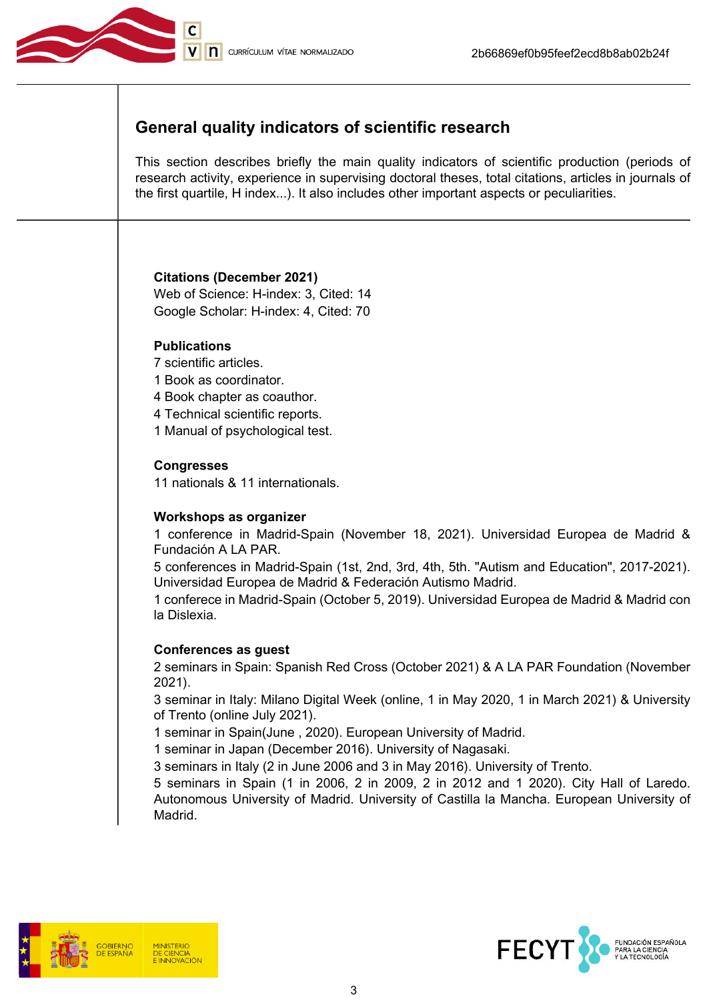

# General quality indicators of scientific research

This section describes briefly the main quality indicators of scientific production (periods of research activity, experience in supervising doctoral theses, total citations, articles in journals of the first quartile, H index...). It also includes other important aspects or peculiarities.

#### Citations (December 2021)

Web of Science: H-index: 3, Cited: 14 Google Scholar: H-index: 4, Cited: 70

## **Publications**

- 7 scientific articles.
- 1 Book as coordinator.
- 4 Book chapter as coauthor.
- 4 Technical scientific reports.
- 1 Manual of psychological test.

## **Congresses**

11 nationals & 11 internationals.

## Workshops as organizer

1 conference in Madrid-Spain (November 18, 2021). Universidad Europea de Madrid & Fundación A LA PAR.

5 conferences in Madrid-Spain (1st, 2nd, 3rd, 4th, 5th. "Autism and Education", 2017-2021). Universidad Europea de Madrid & Federación Autismo Madrid.

1 conferece in Madrid-Spain (October 5, 2019). Universidad Europea de Madrid & Madrid con la Dislexia.

#### Conferences as guest

2 seminars in Spain: Spanish Red Cross (October 2021) & A LA PAR Foundation (November 2021).

3 seminar in Italy: Milano Digital Week (online, 1 in May 2020, 1 in March 2021) & University of Trento (online July 2021).

1 seminar in Spain(June , 2020). European University of Madrid.

1 seminar in Japan (December 2016). University of Nagasaki.

3 seminars in Italy (2 in June 2006 and 3 in May 2016). University of Trento.

5 seminars in Spain (1 in 2006, 2 in 2009, 2 in 2012 and 1 2020). City Hall of Laredo. Autonomous University of Madrid. University of Castilla la Mancha. European University of Madrid.



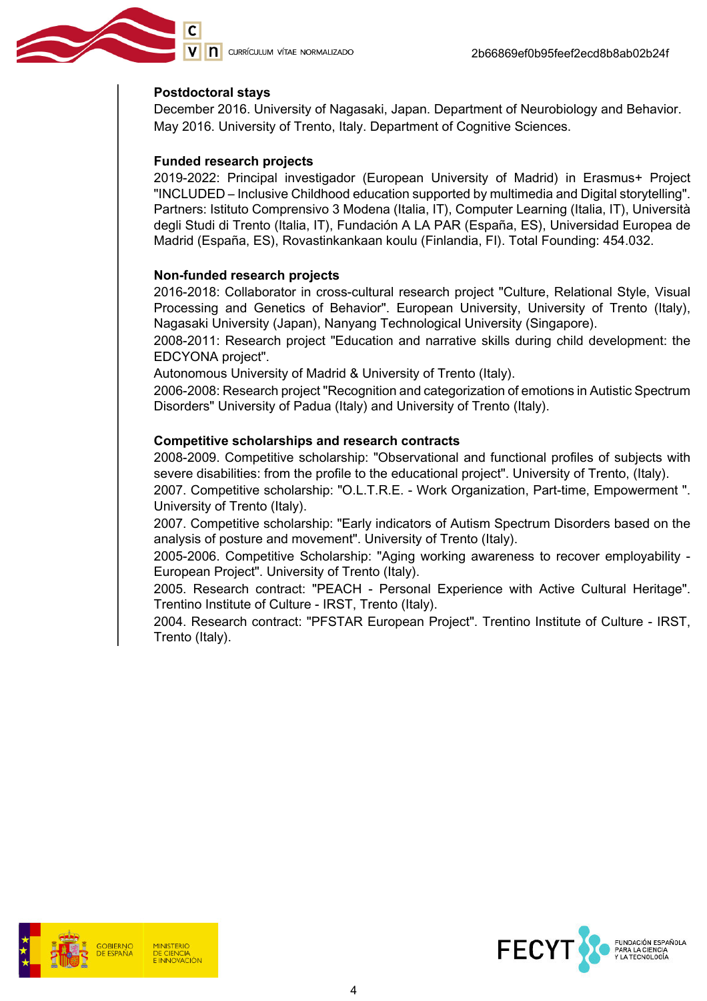#### Postdoctoral stays

December 2016. University of Nagasaki, Japan. Department of Neurobiology and Behavior. May 2016. University of Trento, Italy. Department of Cognitive Sciences.

#### Funded research projects

2019-2022: Principal investigador (European University of Madrid) in Erasmus+ Project "INCLUDED – Inclusive Childhood education supported by multimedia and Digital storytelling". Partners: Istituto Comprensivo 3 Modena (Italia, IT), Computer Learning (Italia, IT), Università degli Studi di Trento (Italia, IT), Fundación A LA PAR (España, ES), Universidad Europea de Madrid (España, ES), Rovastinkankaan koulu (Finlandia, FI). Total Founding: 454.032.

#### Non-funded research projects

2016-2018: Collaborator in cross-cultural research project "Culture, Relational Style, Visual Processing and Genetics of Behavior". European University, University of Trento (Italy), Nagasaki University (Japan), Nanyang Technological University (Singapore).

2008-2011: Research project "Education and narrative skills during child development: the EDCYONA project".

Autonomous University of Madrid & University of Trento (Italy).

2006-2008: Research project "Recognition and categorization of emotions in Autistic Spectrum Disorders" University of Padua (Italy) and University of Trento (Italy).

#### Competitive scholarships and research contracts

2008-2009. Competitive scholarship: "Observational and functional profiles of subjects with severe disabilities: from the profile to the educational project". University of Trento, (Italy).

2007. Competitive scholarship: "O.L.T.R.E. - Work Organization, Part-time, Empowerment ". University of Trento (Italy).

2007. Competitive scholarship: "Early indicators of Autism Spectrum Disorders based on the analysis of posture and movement". University of Trento (Italy).

2005-2006. Competitive Scholarship: "Aging working awareness to recover employability - European Project". University of Trento (Italy).

2005. Research contract: "PEACH - Personal Experience with Active Cultural Heritage". Trentino Institute of Culture - IRST, Trento (Italy).

2004. Research contract: "PFSTAR European Project". Trentino Institute of Culture - IRST, Trento (Italy).



**DE CIENCIA** 

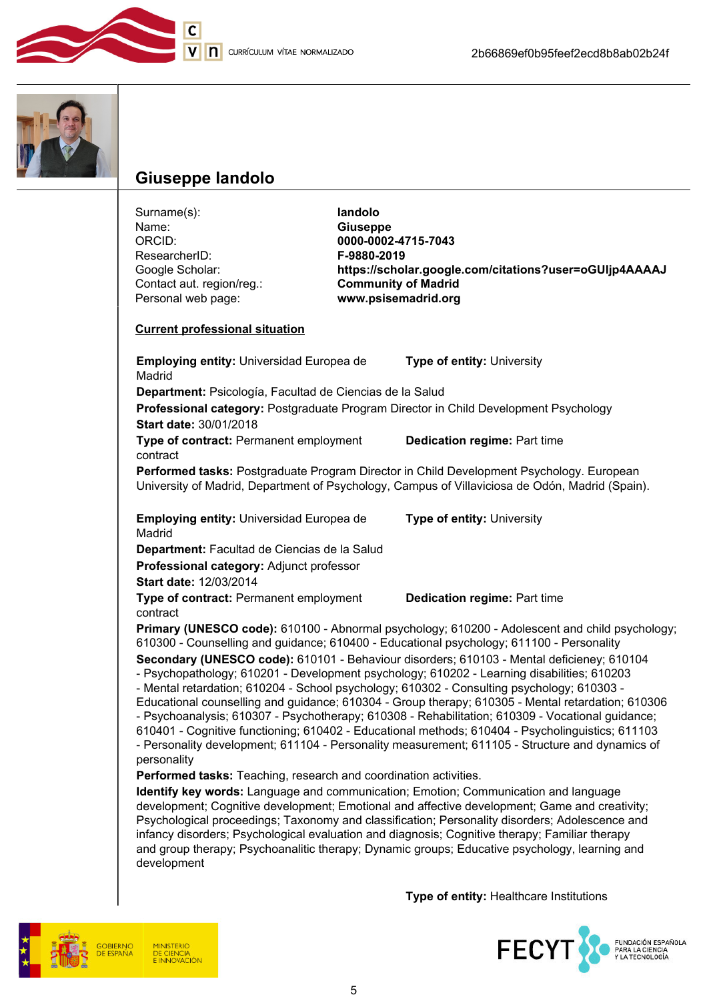



# Giuseppe Iandolo

development

Surname(s):<br>
Name: **Iandolo**<br> **Iandolo**<br> **Iandolo**<br> **Iandolo** Name: Giuseppe<br>
ORCID: CORCID: 0000-0002 0000-0002-4715-7043<br>F-9880-2019 ResearcherID: Google Scholar: https://scholar.google.com/citations?user=oGUljp4AAAAJ<br>Contact aut. region/reg.: Community of Madrid Contact aut. region/reg.:<br>Personal web page: www.psisemadrid.org Current professional situation Employing entity: Universidad Europea de Madrid Type of entity: University Department: Psicología, Facultad de Ciencias de la Salud Professional category: Postgraduate Program Director in Child Development Psychology Start date: 30/01/2018 Type of contract: Permanent employment contract Dedication regime: Part time Performed tasks: Postgraduate Program Director in Child Development Psychology. European University of Madrid, Department of Psychology, Campus of Villaviciosa de Odón, Madrid (Spain). Employing entity: Universidad Europea de Madrid Type of entity: University Department: Facultad de Ciencias de la Salud Professional category: Adjunct professor Start date: 12/03/2014 Type of contract: Permanent employment contract Dedication regime: Part time Primary (UNESCO code): 610100 - Abnormal psychology; 610200 - Adolescent and child psychology; 610300 - Counselling and guidance; 610400 - Educational psychology; 611100 - Personality Secondary (UNESCO code): 610101 - Behaviour disorders; 610103 - Mental deficieney; 610104 - Psychopathology; 610201 - Development psychology; 610202 - Learning disabilities; 610203 - Mental retardation; 610204 - School psychology; 610302 - Consulting psychology; 610303 - Educational counselling and guidance; 610304 - Group therapy; 610305 - Mental retardation; 610306 - Psychoanalysis; 610307 - Psychotherapy; 610308 - Rehabilitation; 610309 - Vocational guidance; 610401 - Cognitive functioning; 610402 - Educational methods; 610404 - Psycholinguistics; 611103 - Personality development; 611104 - Personality measurement; 611105 - Structure and dynamics of personality Performed tasks: Teaching, research and coordination activities. Identify key words: Language and communication; Emotion; Communication and language development; Cognitive development; Emotional and affective development; Game and creativity; Psychological proceedings; Taxonomy and classification; Personality disorders; Adolescence and infancy disorders; Psychological evaluation and diagnosis; Cognitive therapy; Familiar therapy and group therapy; Psychoanalitic therapy; Dynamic groups; Educative psychology, learning and

Type of entity: Healthcare Institutions



5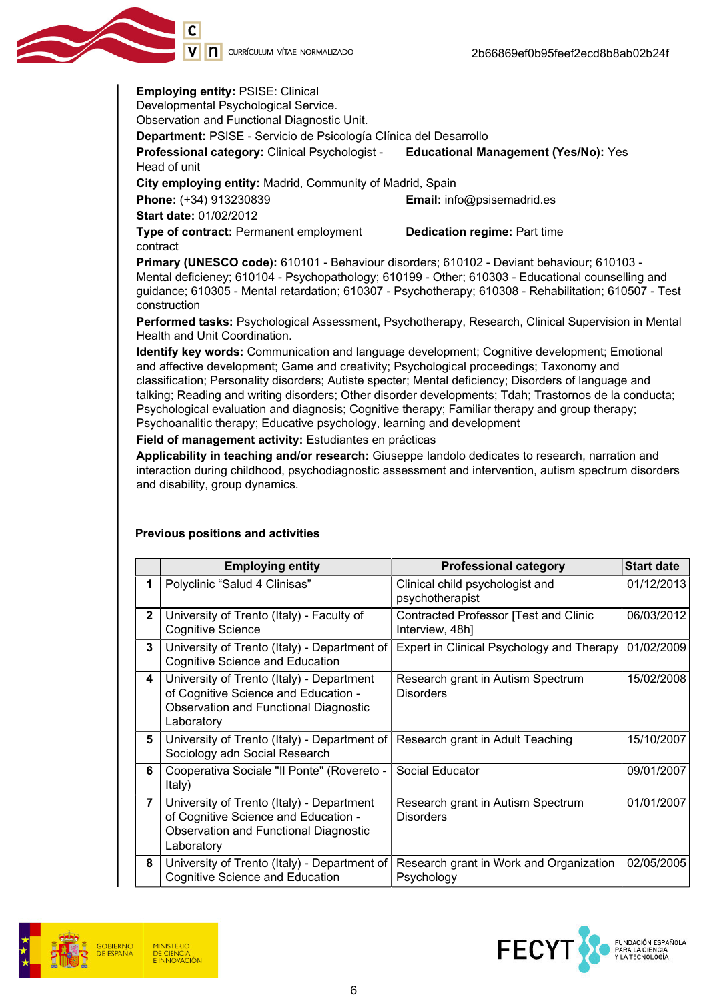V | **n** currículum vítae normalizado

Employing entity: PSISE: Clinical Developmental Psychological Service. Observation and Functional Diagnostic Unit.

Department: PSISE - Servicio de Psicología Clínica del Desarrollo

Professional category: Clinical Psychologist - Head of unit Educational Management (Yes/No): Yes

City employing entity: Madrid, Community of Madrid, Spain

Phone: (+34) 913230839 **Email:** info@psisemadrid.es

Start date: 01/02/2012

Type of contract: Permanent employment contract

Dedication regime: Part time

Primary (UNESCO code): 610101 - Behaviour disorders; 610102 - Deviant behaviour; 610103 - Mental deficieney; 610104 - Psychopathology; 610199 - Other; 610303 - Educational counselling and guidance; 610305 - Mental retardation; 610307 - Psychotherapy; 610308 - Rehabilitation; 610507 - Test construction

Performed tasks: Psychological Assessment, Psychotherapy, Research, Clinical Supervision in Mental Health and Unit Coordination.

Identify key words: Communication and language development; Cognitive development; Emotional and affective development; Game and creativity; Psychological proceedings; Taxonomy and classification; Personality disorders; Autiste specter; Mental deficiency; Disorders of language and talking; Reading and writing disorders; Other disorder developments; Tdah; Trastornos de la conducta; Psychological evaluation and diagnosis; Cognitive therapy; Familiar therapy and group therapy; Psychoanalitic therapy; Educative psychology, learning and development

Field of management activity: Estudiantes en prácticas

Applicability in teaching and/or research: Giuseppe Iandolo dedicates to research, narration and interaction during childhood, psychodiagnostic assessment and intervention, autism spectrum disorders and disability, group dynamics.

## Previous positions and activities

|                | <b>Employing entity</b>                                                                                                                  | <b>Professional category</b>                                    | <b>Start date</b> |
|----------------|------------------------------------------------------------------------------------------------------------------------------------------|-----------------------------------------------------------------|-------------------|
| 1              | Polyclinic "Salud 4 Clinisas"                                                                                                            | Clinical child psychologist and<br>psychotherapist              | 01/12/2013        |
| $\mathbf{2}$   | University of Trento (Italy) - Faculty of<br><b>Cognitive Science</b>                                                                    | <b>Contracted Professor [Test and Clinic</b><br>Interview, 48h] | 06/03/2012        |
| 3              | University of Trento (Italy) - Department of<br><b>Cognitive Science and Education</b>                                                   | Expert in Clinical Psychology and Therapy                       | 01/02/2009        |
| 4              | University of Trento (Italy) - Department<br>of Cognitive Science and Education -<br>Observation and Functional Diagnostic<br>Laboratory | Research grant in Autism Spectrum<br><b>Disorders</b>           | 15/02/2008        |
| 5              | University of Trento (Italy) - Department of<br>Sociology adn Social Research                                                            | Research grant in Adult Teaching                                | 15/10/2007        |
| 6              | Cooperativa Sociale "Il Ponte" (Rovereto -<br>Italy)                                                                                     | Social Educator                                                 | 09/01/2007        |
| $\overline{7}$ | University of Trento (Italy) - Department<br>of Cognitive Science and Education -<br>Observation and Functional Diagnostic<br>Laboratory | Research grant in Autism Spectrum<br><b>Disorders</b>           | 01/01/2007        |
| 8              | University of Trento (Italy) - Department of<br><b>Cognitive Science and Education</b>                                                   | Research grant in Work and Organization<br>Psychology           | 02/05/2005        |



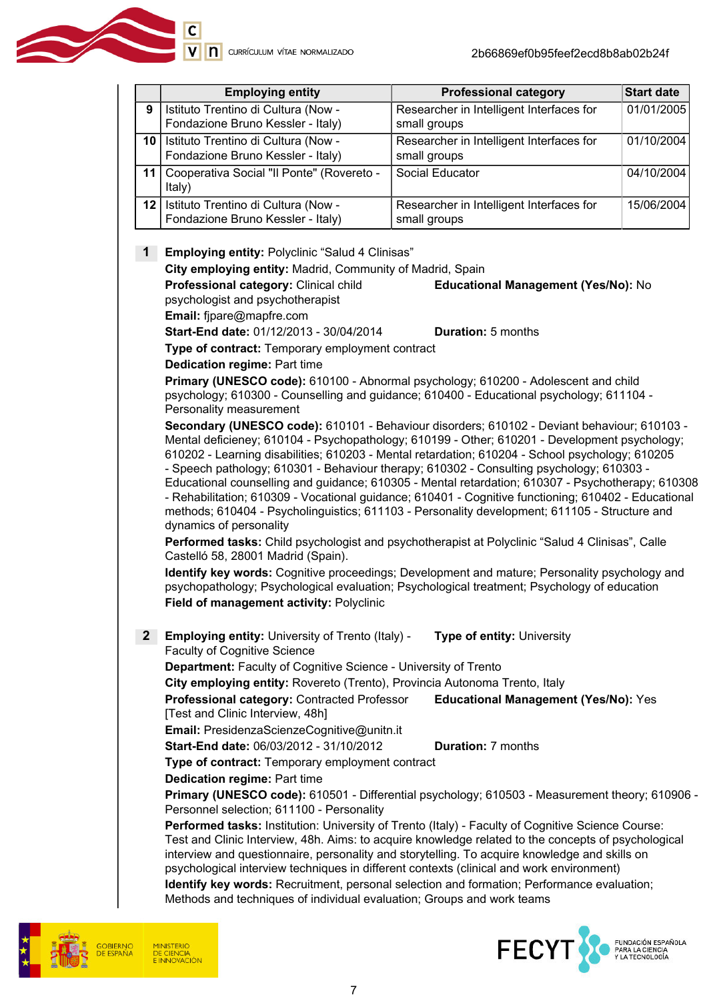|   | <b>Employing entity</b>                                                       | <b>Professional category</b>                             | <b>Start date</b> |
|---|-------------------------------------------------------------------------------|----------------------------------------------------------|-------------------|
| 9 | Istituto Trentino di Cultura (Now -<br>Fondazione Bruno Kessler - Italy)      | Researcher in Intelligent Interfaces for<br>small groups | 01/01/2005        |
|   | 10   Istituto Trentino di Cultura (Now -<br>Fondazione Bruno Kessler - Italy) | Researcher in Intelligent Interfaces for<br>small groups | 01/10/2004        |
|   | 11   Cooperativa Social "Il Ponte" (Rovereto -<br>Italy)                      | Social Educator                                          | 04/10/2004        |
|   | 12   Istituto Trentino di Cultura (Now -<br>Fondazione Bruno Kessler - Italy) | Researcher in Intelligent Interfaces for<br>small groups | 15/06/2004        |

#### 1 Employing entity: Polyclinic "Salud 4 Clinisas"

City employing entity: Madrid, Community of Madrid, Spain

Professional category: Clinical child psychologist and psychotherapist Educational Management (Yes/No): No

Email: fjpare@mapfre.com

Start-End date: 01/12/2013 - 30/04/2014 Duration: 5 months

Type of contract: Temporary employment contract

Dedication regime: Part time

Primary (UNESCO code): 610100 - Abnormal psychology; 610200 - Adolescent and child psychology; 610300 - Counselling and guidance; 610400 - Educational psychology; 611104 - Personality measurement

Secondary (UNESCO code): 610101 - Behaviour disorders; 610102 - Deviant behaviour; 610103 - Mental deficieney; 610104 - Psychopathology; 610199 - Other; 610201 - Development psychology; 610202 - Learning disabilities; 610203 - Mental retardation; 610204 - School psychology; 610205 - Speech pathology; 610301 - Behaviour therapy; 610302 - Consulting psychology; 610303 -

Educational counselling and guidance; 610305 - Mental retardation; 610307 - Psychotherapy; 610308 - Rehabilitation; 610309 - Vocational guidance; 610401 - Cognitive functioning; 610402 - Educational methods; 610404 - Psycholinguistics; 611103 - Personality development; 611105 - Structure and dynamics of personality

Performed tasks: Child psychologist and psychotherapist at Polyclinic "Salud 4 Clinisas", Calle Castelló 58, 28001 Madrid (Spain).

Identify key words: Cognitive proceedings; Development and mature; Personality psychology and psychopathology; Psychological evaluation; Psychological treatment; Psychology of education Field of management activity: Polyclinic

2 Employing entity: University of Trento (Italy) -Faculty of Cognitive Science Type of entity: University

Department: Faculty of Cognitive Science - University of Trento

City employing entity: Rovereto (Trento), Provincia Autonoma Trento, Italy

Professional category: Contracted Professor [Test and Clinic Interview, 48h] Educational Management (Yes/No): Yes

Email: PresidenzaScienzeCognitive@unitn.it

Start-End date: 06/03/2012 - 31/10/2012 Duration: 7 months

Type of contract: Temporary employment contract

Dedication regime: Part time

Primary (UNESCO code): 610501 - Differential psychology; 610503 - Measurement theory; 610906 - Personnel selection; 611100 - Personality

Performed tasks: Institution: University of Trento (Italy) - Faculty of Cognitive Science Course: Test and Clinic Interview, 48h. Aims: to acquire knowledge related to the concepts of psychological interview and questionnaire, personality and storytelling. To acquire knowledge and skills on psychological interview techniques in different contexts (clinical and work environment)

Identify key words: Recruitment, personal selection and formation; Performance evaluation; Methods and techniques of individual evaluation; Groups and work teams



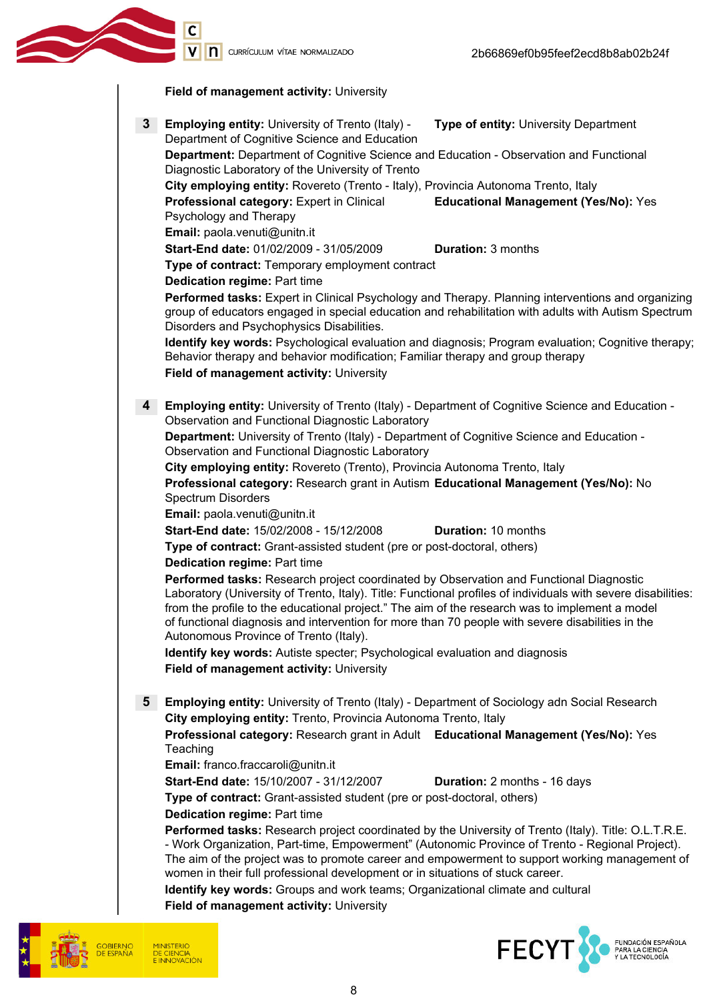V | | | CURRÍCULUM VÍTAE NORMALIZADO





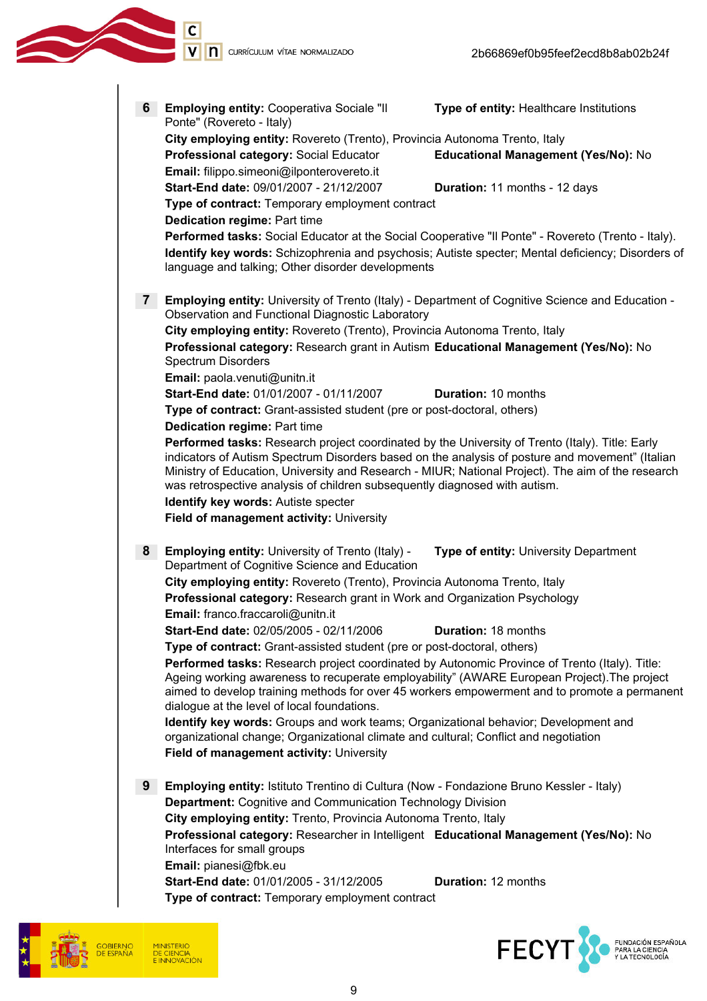



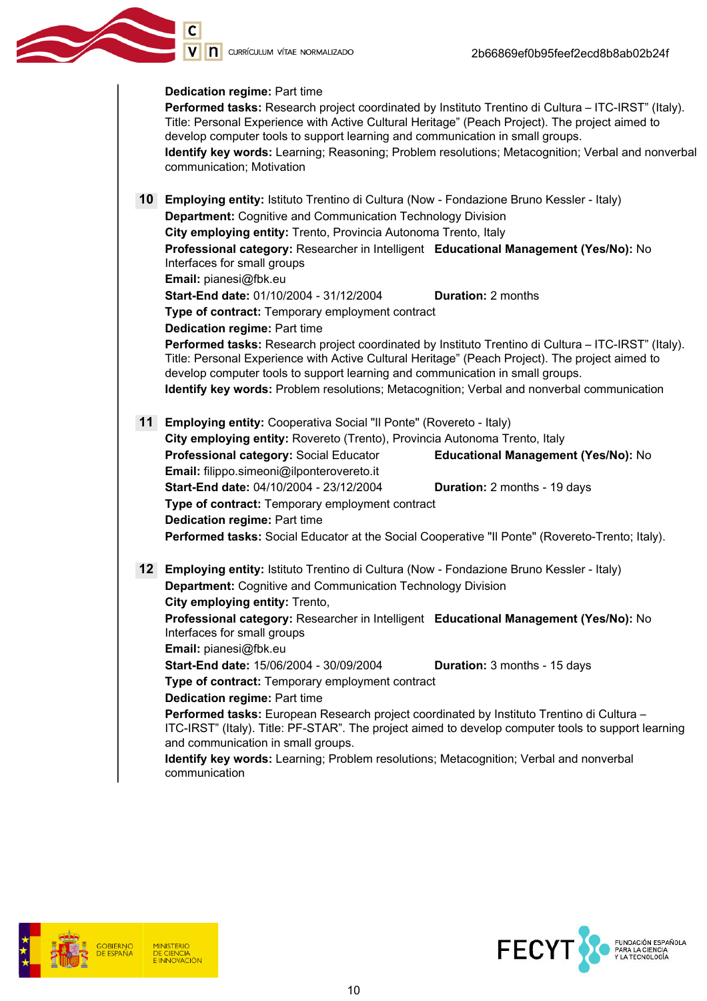V n currículum vítae normalizado

#### Dedication regime: Part time

Performed tasks: Research project coordinated by Instituto Trentino di Cultura – ITC-IRST" (Italy). Title: Personal Experience with Active Cultural Heritage" (Peach Project). The project aimed to develop computer tools to support learning and communication in small groups. Identify key words: Learning; Reasoning; Problem resolutions; Metacognition; Verbal and nonverbal communication; Motivation 10 Employing entity: Istituto Trentino di Cultura (Now - Fondazione Bruno Kessler - Italy) **Department: Cognitive and Communication Technology Division** City employing entity: Trento, Provincia Autonoma Trento, Italy Professional category: Researcher in Intelligent Educational Management (Yes/No): No Interfaces for small groups Email: pianesi@fbk.eu Start-End date: 01/10/2004 - 31/12/2004 Duration: 2 months Type of contract: Temporary employment contract Dedication regime: Part time Performed tasks: Research project coordinated by Instituto Trentino di Cultura – ITC-IRST" (Italy). Title: Personal Experience with Active Cultural Heritage" (Peach Project). The project aimed to develop computer tools to support learning and communication in small groups. Identify key words: Problem resolutions; Metacognition; Verbal and nonverbal communication 11 Employing entity: Cooperativa Social "Il Ponte" (Rovereto - Italy) City employing entity: Rovereto (Trento), Provincia Autonoma Trento, Italy Professional category: Social Educator Educational Management (Yes/No): No Email: filippo.simeoni@ilponterovereto.it Start-End date: 04/10/2004 - 23/12/2004 Duration: 2 months - 19 days Type of contract: Temporary employment contract Dedication regime: Part time Performed tasks: Social Educator at the Social Cooperative "Il Ponte" (Rovereto-Trento; Italy). 12 Employing entity: Istituto Trentino di Cultura (Now - Fondazione Bruno Kessler - Italy) Department: Cognitive and Communication Technology Division City employing entity: Trento, Professional category: Researcher in Intelligent Educational Management (Yes/No): No Interfaces for small groups Email: pianesi@fbk.eu Start-End date: 15/06/2004 - 30/09/2004 Duration: 3 months - 15 days Type of contract: Temporary employment contract Dedication regime: Part time Performed tasks: European Research project coordinated by Instituto Trentino di Cultura – ITC-IRST" (Italy). Title: PF-STAR". The project aimed to develop computer tools to support learning and communication in small groups. Identify key words: Learning; Problem resolutions; Metacognition; Verbal and nonverbal communication



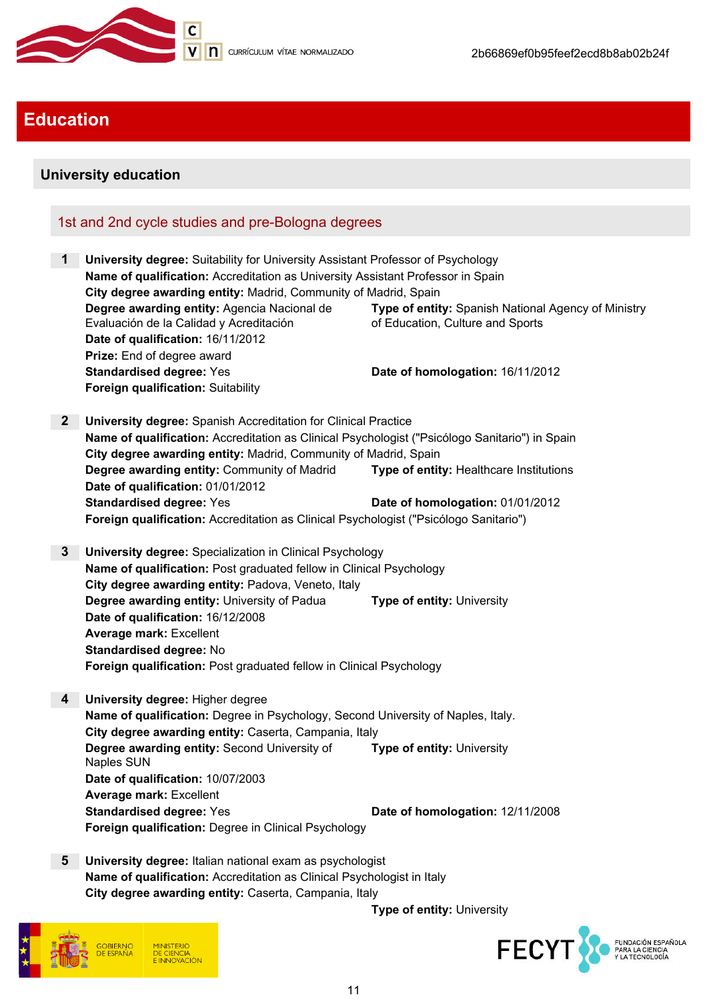

# **Education**

# University education

# 1st and 2nd cycle studies and pre-Bologna degrees

1 University degree: Suitability for University Assistant Professor of Psychology Name of qualification: Accreditation as University Assistant Professor in Spain City degree awarding entity: Madrid, Community of Madrid, Spain Degree awarding entity: Agencia Nacional de Evaluación de la Calidad y Acreditación Type of entity: Spanish National Agency of Ministry of Education, Culture and Sports Date of qualification: 16/11/2012 Prize: End of degree award Standardised degree: Yes Date of homologation: 16/11/2012 Foreign qualification: Suitability 2 University degree: Spanish Accreditation for Clinical Practice Name of qualification: Accreditation as Clinical Psychologist ("Psicólogo Sanitario") in Spain City degree awarding entity: Madrid, Community of Madrid, Spain Degree awarding entity: Community of Madrid Type of entity: Healthcare Institutions Date of qualification: 01/01/2012 Standardised degree: Yes Date of homologation: 01/01/2012 Foreign qualification: Accreditation as Clinical Psychologist ("Psicólogo Sanitario") 3 University degree: Specialization in Clinical Psychology Name of qualification: Post graduated fellow in Clinical Psychology City degree awarding entity: Padova, Veneto, Italy **Degree awarding entity:** University of Padua **Type of entity:** University Date of qualification: 16/12/2008 Average mark: Excellent Standardised degree: No Foreign qualification: Post graduated fellow in Clinical Psychology 4 University degree: Higher degree Name of qualification: Degree in Psychology, Second University of Naples, Italy. City degree awarding entity: Caserta, Campania, Italy Degree awarding entity: Second University of Naples SUN Type of entity: University Date of qualification: 10/07/2003 Average mark: Excellent Standardised degree: Yes Date of homologation: 12/11/2008 Foreign qualification: Degree in Clinical Psychology 5 University degree: Italian national exam as psychologist

Name of qualification: Accreditation as Clinical Psychologist in Italy City degree awarding entity: Caserta, Campania, Italy



Type of entity: University

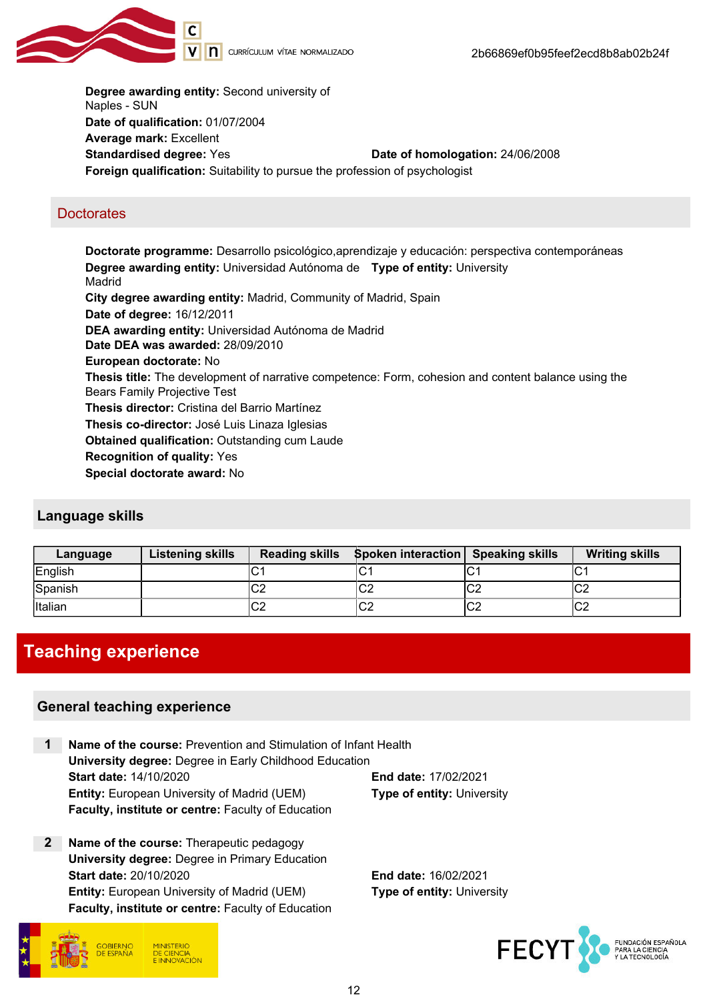

Degree awarding entity: Second university of Naples - SUN Date of qualification: 01/07/2004 Average mark: Excellent Standardised degree: Yes Date of homologation: 24/06/2008 Foreign qualification: Suitability to pursue the profession of psychologist

## **Doctorates**

Doctorate programme: Desarrollo psicológico,aprendizaje y educación: perspectiva contemporáneas Degree awarding entity: Universidad Autónoma de Type of entity: University Madrid City degree awarding entity: Madrid, Community of Madrid, Spain Date of degree: 16/12/2011 DEA awarding entity: Universidad Autónoma de Madrid Date DEA was awarded: 28/09/2010 European doctorate: No Thesis title: The development of narrative competence: Form, cohesion and content balance using the Bears Family Projective Test Thesis director: Cristina del Barrio Martínez Thesis co-director: José Luis Linaza Iglesias Obtained qualification: Outstanding cum Laude Recognition of quality: Yes Special doctorate award: No

## Language skills

| Language       | <b>Listening skills</b> | <b>Reading skills</b> | <b>Spoken interaction</b> Speaking skills |              | <b>Writing skills</b> |
|----------------|-------------------------|-----------------------|-------------------------------------------|--------------|-----------------------|
| English        |                         | ◡                     | ◡                                         |              | ັ                     |
| Spanish        |                         | ⌒⌒<br>∪∠              | $\sim$<br>∣∪∠                             | $\sim$<br>◡∠ | $\sim$<br>'∪∠         |
| <b>Italian</b> |                         | ⌒⌒<br>∪∠              | lC2                                       | $\sim$<br>∪∠ | $\sim$<br>◡∠          |

# Teaching experience

## General teaching experience

|                               | Name of the course: Prevention and Stimulation of Infant Health |                                   |  |
|-------------------------------|-----------------------------------------------------------------|-----------------------------------|--|
|                               | University degree: Degree in Early Childhood Education          |                                   |  |
| <b>Start date: 14/10/2020</b> |                                                                 | <b>End date: 17/02/2021</b>       |  |
|                               | <b>Entity:</b> European University of Madrid (UEM)              | <b>Type of entity: University</b> |  |
|                               | Faculty, institute or centre: Faculty of Education              |                                   |  |

2 Name of the course: Therapeutic pedagogy University degree: Degree in Primary Education Start date: 20/10/2020 End date: 16/02/2021 **Entity:** European University of Madrid (UEM) Type of entity: University Faculty, institute or centre: Faculty of Education



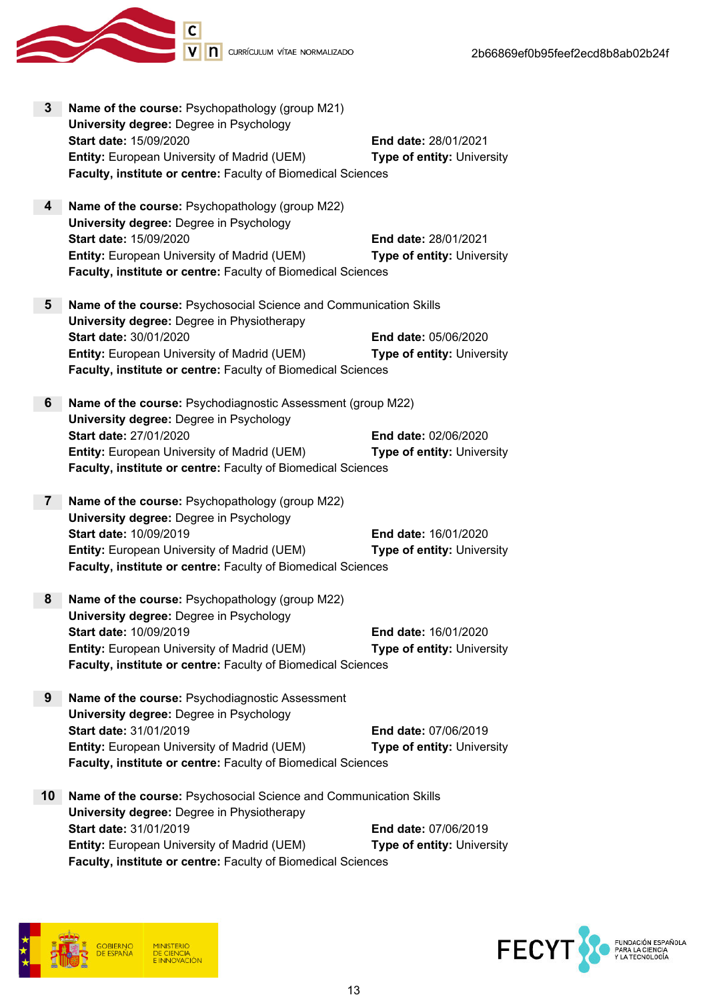

- Start date: 15/09/2020 End date: 28/01/2021 Entity: European University of Madrid (UEM) Type of entity: University Faculty, institute or centre: Faculty of Biomedical Sciences
- 5 Name of the course: Psychosocial Science and Communication Skills University degree: Degree in Physiotherapy Start date: 30/01/2020 End date: 05/06/2020 **Entity:** European University of Madrid (UEM) Type of entity: University Faculty, institute or centre: Faculty of Biomedical Sciences
- 6 Name of the course: Psychodiagnostic Assessment (group M22) University degree: Degree in Psychology Start date: 27/01/2020 End date: 02/06/2020 Entity: European University of Madrid (UEM) Type of entity: University Faculty, institute or centre: Faculty of Biomedical Sciences
- 7 Name of the course: Psychopathology (group M22) University degree: Degree in Psychology Start date: 10/09/2019 End date: 16/01/2020 **Entity:** European University of Madrid (UEM) Type of entity: University Faculty, institute or centre: Faculty of Biomedical Sciences
- 8 Name of the course: Psychopathology (group M22) University degree: Degree in Psychology Start date: 10/09/2019 End date: 16/01/2020 Entity: European University of Madrid (UEM) Type of entity: University Faculty, institute or centre: Faculty of Biomedical Sciences
- 9 Name of the course: Psychodiagnostic Assessment University degree: Degree in Psychology Start date: 31/01/2019 End date: 07/06/2019 Entity: European University of Madrid (UEM) Type of entity: University Faculty, institute or centre: Faculty of Biomedical Sciences
- 10 Name of the course: Psychosocial Science and Communication Skills University degree: Degree in Physiotherapy Start date: 31/01/2019 End date: 07/06/2019 Entity: European University of Madrid (UEM) Type of entity: University Faculty, institute or centre: Faculty of Biomedical Sciences



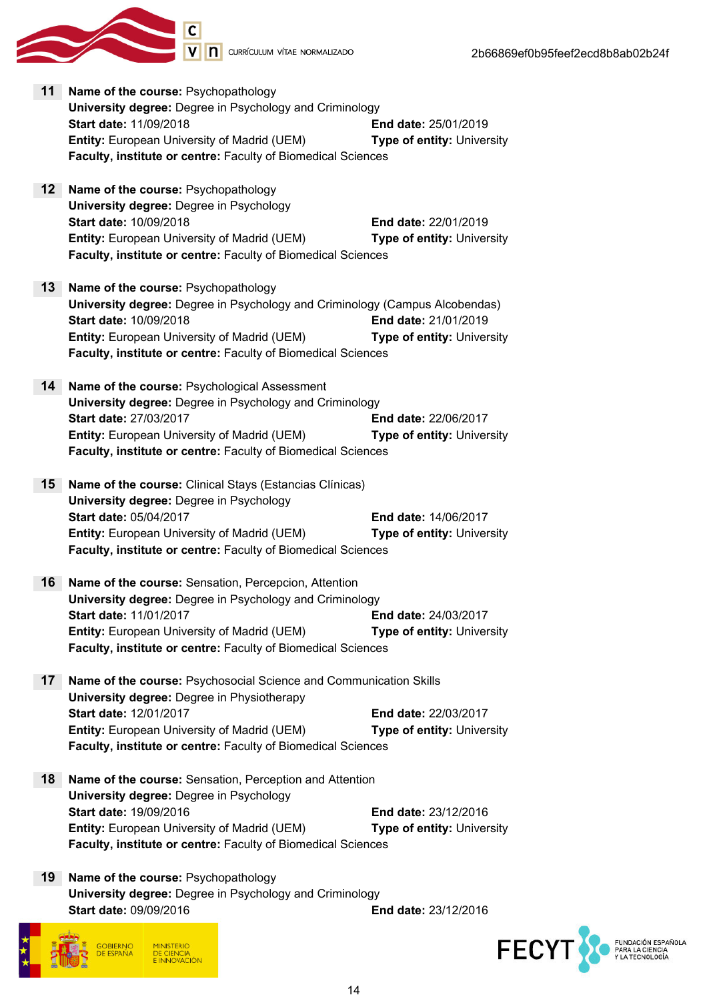

- 11 Name of the course: Psychopathology University degree: Degree in Psychology and Criminology Start date: 11/09/2018 End date: 25/01/2019 Entity: European University of Madrid (UEM) Type of entity: University Faculty, institute or centre: Faculty of Biomedical Sciences 12 Name of the course: Psychopathology
- University degree: Degree in Psychology Start date: 10/09/2018 End date: 22/01/2019 **Entity:** European University of Madrid (UEM) Type of entity: University Faculty, institute or centre: Faculty of Biomedical Sciences
- 13 Name of the course: Psychopathology University degree: Degree in Psychology and Criminology (Campus Alcobendas) Start date: 10/09/2018 End date: 21/01/2019 **Entity:** European University of Madrid (UEM) Type of entity: University Faculty, institute or centre: Faculty of Biomedical Sciences
- 14 Name of the course: Psychological Assessment University degree: Degree in Psychology and Criminology Start date: 27/03/2017 End date: 22/06/2017 Entity: European University of Madrid (UEM) Type of entity: University Faculty, institute or centre: Faculty of Biomedical Sciences
- 15 Name of the course: Clinical Stays (Estancias Clínicas) University degree: Degree in Psychology Start date: 05/04/2017 End date: 14/06/2017 **Entity:** European University of Madrid (UEM) Type of entity: University Faculty, institute or centre: Faculty of Biomedical Sciences
- 16 Name of the course: Sensation, Percepcion, Attention University degree: Degree in Psychology and Criminology Start date: 11/01/2017 End date: 24/03/2017 Entity: European University of Madrid (UEM) Type of entity: University Faculty, institute or centre: Faculty of Biomedical Sciences
- 17 Name of the course: Psychosocial Science and Communication Skills University degree: Degree in Physiotherapy Start date: 12/01/2017 End date: 22/03/2017 **Entity:** European University of Madrid (UEM) **Type of entity:** University Faculty, institute or centre: Faculty of Biomedical Sciences
- 18 Name of the course: Sensation, Perception and Attention University degree: Degree in Psychology Start date: 19/09/2016 End date: 23/12/2016 Entity: European University of Madrid (UEM) Type of entity: University Faculty, institute or centre: Faculty of Biomedical Sciences
- 19 Name of the course: Psychopathology University degree: Degree in Psychology and Criminology Start date: 09/09/2016 End date: 23/12/2016



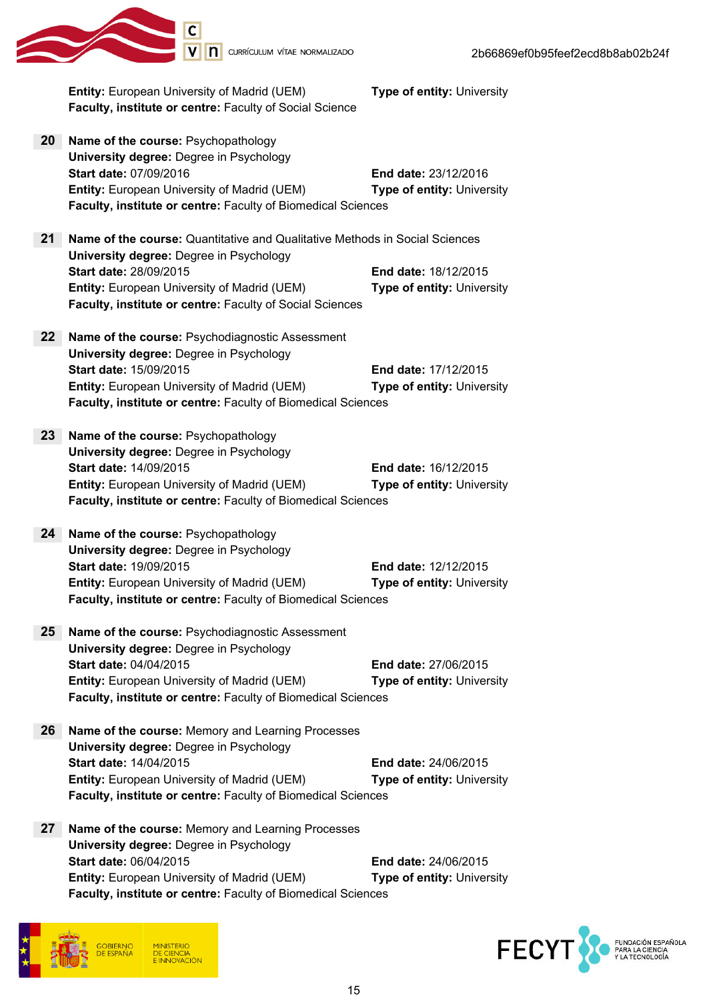|                 | Entity: European University of Madrid (UEM)<br>Faculty, institute or centre: Faculty of Social Science                                                                                  | Type of entity: University                                       |
|-----------------|-----------------------------------------------------------------------------------------------------------------------------------------------------------------------------------------|------------------------------------------------------------------|
| 20              | Name of the course: Psychopathology                                                                                                                                                     |                                                                  |
|                 | <b>University degree: Degree in Psychology</b><br>Start date: 07/09/2016<br>Entity: European University of Madrid (UEM)<br>Faculty, institute or centre: Faculty of Biomedical Sciences | <b>End date: 23/12/2016</b><br>Type of entity: University        |
| 21              | <b>Name of the course:</b> Quantitative and Qualitative Methods in Social Sciences                                                                                                      |                                                                  |
|                 | <b>University degree: Degree in Psychology</b><br><b>Start date: 28/09/2015</b>                                                                                                         | <b>End date: 18/12/2015</b>                                      |
|                 | Entity: European University of Madrid (UEM)<br>Faculty, institute or centre: Faculty of Social Sciences                                                                                 | Type of entity: University                                       |
| 22 <sub>2</sub> | Name of the course: Psychodiagnostic Assessment                                                                                                                                         |                                                                  |
|                 | <b>University degree: Degree in Psychology</b>                                                                                                                                          |                                                                  |
|                 | Start date: 15/09/2015<br>Entity: European University of Madrid (UEM)                                                                                                                   | <b>End date: 17/12/2015</b><br>Type of entity: University        |
|                 | Faculty, institute or centre: Faculty of Biomedical Sciences                                                                                                                            |                                                                  |
| 23 <sub>2</sub> | Name of the course: Psychopathology                                                                                                                                                     |                                                                  |
|                 | University degree: Degree in Psychology                                                                                                                                                 |                                                                  |
|                 | Start date: 14/09/2015                                                                                                                                                                  | <b>End date: 16/12/2015</b>                                      |
|                 | Entity: European University of Madrid (UEM)<br>Faculty, institute or centre: Faculty of Biomedical Sciences                                                                             | <b>Type of entity: University</b>                                |
|                 |                                                                                                                                                                                         |                                                                  |
| 24              | Name of the course: Psychopathology<br><b>University degree: Degree in Psychology</b>                                                                                                   |                                                                  |
|                 | Start date: 19/09/2015                                                                                                                                                                  | End date: 12/12/2015                                             |
|                 | Entity: European University of Madrid (UEM)<br>Faculty, institute or centre: Faculty of Biomedical Sciences                                                                             | Type of entity: University                                       |
|                 |                                                                                                                                                                                         |                                                                  |
| 25              | Name of the course: Psychodiagnostic Assessment<br>University degree: Degree in Psychology                                                                                              |                                                                  |
|                 | <b>Start date: 04/04/2015</b>                                                                                                                                                           | <b>End date: 27/06/2015</b>                                      |
|                 | <b>Entity: European University of Madrid (UEM)</b>                                                                                                                                      | Type of entity: University                                       |
|                 | Faculty, institute or centre: Faculty of Biomedical Sciences                                                                                                                            |                                                                  |
| 26              | Name of the course: Memory and Learning Processes                                                                                                                                       |                                                                  |
|                 | <b>University degree: Degree in Psychology</b><br><b>Start date: 14/04/2015</b>                                                                                                         | <b>End date: 24/06/2015</b>                                      |
|                 | Entity: European University of Madrid (UEM)                                                                                                                                             | <b>Type of entity: University</b>                                |
|                 | Faculty, institute or centre: Faculty of Biomedical Sciences                                                                                                                            |                                                                  |
| 27              | Name of the course: Memory and Learning Processes                                                                                                                                       |                                                                  |
|                 | <b>University degree: Degree in Psychology</b>                                                                                                                                          |                                                                  |
|                 | <b>Start date: 06/04/2015</b><br>Entity: European University of Madrid (UEM)                                                                                                            | <b>End date: 24/06/2015</b><br><b>Type of entity: University</b> |
|                 | Faculty, institute or centre: Faculty of Biomedical Sciences                                                                                                                            |                                                                  |



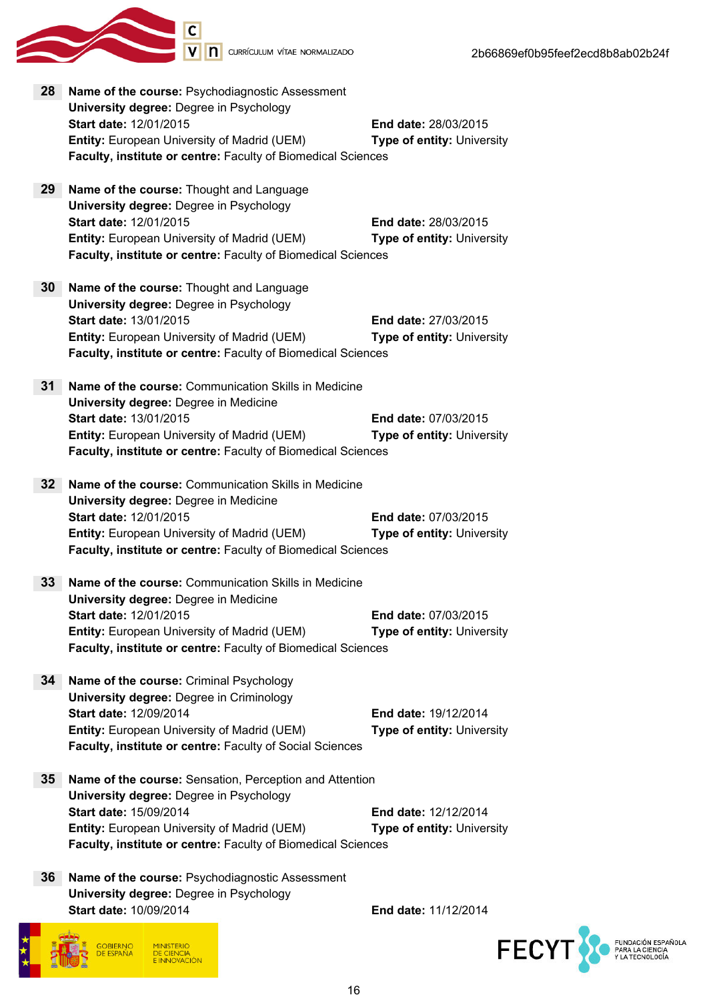

| 28              | Name of the course: Psychodiagnostic Assessment              |                                   |
|-----------------|--------------------------------------------------------------|-----------------------------------|
|                 | <b>University degree: Degree in Psychology</b>               |                                   |
|                 | Start date: 12/01/2015                                       | End date: 28/03/2015              |
|                 | <b>Entity: European University of Madrid (UEM)</b>           | <b>Type of entity: University</b> |
|                 | Faculty, institute or centre: Faculty of Biomedical Sciences |                                   |
|                 |                                                              |                                   |
|                 |                                                              |                                   |
| 29              | Name of the course: Thought and Language                     |                                   |
|                 | University degree: Degree in Psychology                      |                                   |
|                 | Start date: 12/01/2015                                       | <b>End date: 28/03/2015</b>       |
|                 | <b>Entity: European University of Madrid (UEM)</b>           | <b>Type of entity: University</b> |
|                 | Faculty, institute or centre: Faculty of Biomedical Sciences |                                   |
|                 |                                                              |                                   |
| 30              | Name of the course: Thought and Language                     |                                   |
|                 | <b>University degree: Degree in Psychology</b>               |                                   |
|                 | Start date: 13/01/2015                                       |                                   |
|                 |                                                              | <b>End date: 27/03/2015</b>       |
|                 | <b>Entity: European University of Madrid (UEM)</b>           | Type of entity: University        |
|                 | Faculty, institute or centre: Faculty of Biomedical Sciences |                                   |
|                 |                                                              |                                   |
| 31              | Name of the course: Communication Skills in Medicine         |                                   |
|                 | University degree: Degree in Medicine                        |                                   |
|                 | <b>Start date: 13/01/2015</b>                                | <b>End date: 07/03/2015</b>       |
|                 | <b>Entity: European University of Madrid (UEM)</b>           | Type of entity: University        |
|                 | Faculty, institute or centre: Faculty of Biomedical Sciences |                                   |
|                 |                                                              |                                   |
| 32 <sub>2</sub> | Name of the course: Communication Skills in Medicine         |                                   |
|                 | University degree: Degree in Medicine                        |                                   |
|                 |                                                              |                                   |
|                 | Start date: 12/01/2015                                       | <b>End date: 07/03/2015</b>       |
|                 | <b>Entity: European University of Madrid (UEM)</b>           | Type of entity: University        |
|                 | Faculty, institute or centre: Faculty of Biomedical Sciences |                                   |
|                 |                                                              |                                   |
| 33              | Name of the course: Communication Skills in Medicine         |                                   |
|                 | University degree: Degree in Medicine                        |                                   |
|                 | <b>Start date: 12/01/2015</b>                                | <b>End date: 07/03/2015</b>       |
|                 | <b>Entity:</b> European University of Madrid (UEM)           | Type of entity: University        |
|                 | Faculty, institute or centre: Faculty of Biomedical Sciences |                                   |
|                 |                                                              |                                   |
| 34              | Name of the course: Criminal Psychology                      |                                   |
|                 | <b>University degree: Degree in Criminology</b>              |                                   |
|                 | Start date: 12/09/2014                                       | <b>End date: 19/12/2014</b>       |
|                 |                                                              |                                   |
|                 | <b>Entity: European University of Madrid (UEM)</b>           | <b>Type of entity: University</b> |
|                 | Faculty, institute or centre: Faculty of Social Sciences     |                                   |
|                 |                                                              |                                   |
| 35 <sub>2</sub> | Name of the course: Sensation, Perception and Attention      |                                   |
|                 | <b>University degree: Degree in Psychology</b>               |                                   |
|                 | Start date: 15/09/2014                                       | <b>End date: 12/12/2014</b>       |
|                 | <b>Entity: European University of Madrid (UEM)</b>           | <b>Type of entity: University</b> |
|                 | Faculty, institute or centre: Faculty of Biomedical Sciences |                                   |
|                 |                                                              |                                   |
| 36              | Name of the course: Psychodiagnostic Assessment              |                                   |
|                 |                                                              |                                   |
|                 | <b>University degree: Degree in Psychology</b>               |                                   |
|                 | Start date: 10/09/2014                                       | End date: 11/12/2014              |



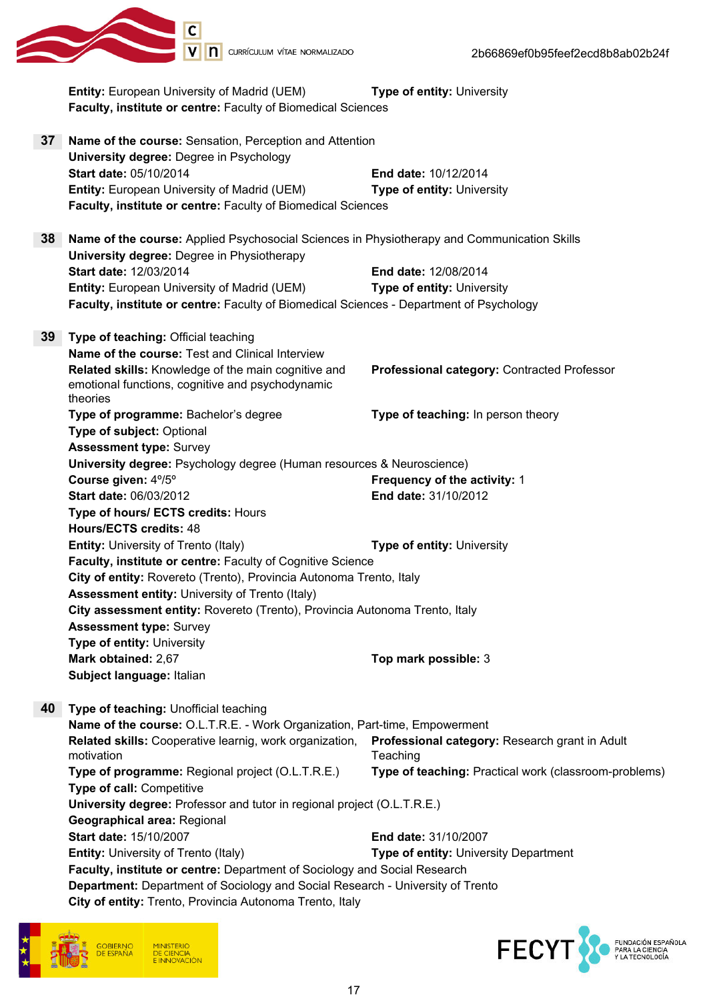

|                                                                             | Entity: European University of Madrid (UEM)<br>Faculty, institute or centre: Faculty of Biomedical Sciences                               | Type of entity: University                                 |
|-----------------------------------------------------------------------------|-------------------------------------------------------------------------------------------------------------------------------------------|------------------------------------------------------------|
| 37                                                                          | Name of the course: Sensation, Perception and Attention                                                                                   |                                                            |
|                                                                             | <b>University degree: Degree in Psychology</b>                                                                                            |                                                            |
|                                                                             | Start date: 05/10/2014                                                                                                                    | <b>End date: 10/12/2014</b>                                |
|                                                                             | Entity: European University of Madrid (UEM)                                                                                               | <b>Type of entity: University</b>                          |
|                                                                             | Faculty, institute or centre: Faculty of Biomedical Sciences                                                                              |                                                            |
| 38                                                                          | Name of the course: Applied Psychosocial Sciences in Physiotherapy and Communication Skills<br>University degree: Degree in Physiotherapy |                                                            |
|                                                                             | Start date: 12/03/2014                                                                                                                    | End date: 12/08/2014                                       |
|                                                                             | <b>Entity: European University of Madrid (UEM)</b>                                                                                        | <b>Type of entity: University</b>                          |
|                                                                             | Faculty, institute or centre: Faculty of Biomedical Sciences - Department of Psychology                                                   |                                                            |
| 39                                                                          | Type of teaching: Official teaching                                                                                                       |                                                            |
|                                                                             | Name of the course: Test and Clinical Interview                                                                                           |                                                            |
|                                                                             | Related skills: Knowledge of the main cognitive and<br>emotional functions, cognitive and psychodynamic<br>theories                       | Professional category: Contracted Professor                |
|                                                                             | Type of programme: Bachelor's degree                                                                                                      | Type of teaching: In person theory                         |
|                                                                             | Type of subject: Optional                                                                                                                 |                                                            |
|                                                                             | <b>Assessment type: Survey</b>                                                                                                            |                                                            |
|                                                                             | University degree: Psychology degree (Human resources & Neuroscience)                                                                     |                                                            |
|                                                                             | Course given: 4%%                                                                                                                         | Frequency of the activity: 1                               |
|                                                                             | Start date: 06/03/2012                                                                                                                    | End date: 31/10/2012                                       |
|                                                                             | Type of hours/ ECTS credits: Hours                                                                                                        |                                                            |
|                                                                             | Hours/ECTS credits: 48                                                                                                                    |                                                            |
|                                                                             | <b>Entity: University of Trento (Italy)</b>                                                                                               | <b>Type of entity: University</b>                          |
|                                                                             | Faculty, institute or centre: Faculty of Cognitive Science                                                                                |                                                            |
|                                                                             | City of entity: Rovereto (Trento), Provincia Autonoma Trento, Italy                                                                       |                                                            |
|                                                                             | <b>Assessment entity: University of Trento (Italy)</b>                                                                                    |                                                            |
| City assessment entity: Rovereto (Trento), Provincia Autonoma Trento, Italy |                                                                                                                                           |                                                            |
|                                                                             | <b>Assessment type: Survey</b>                                                                                                            |                                                            |
|                                                                             | Type of entity: University                                                                                                                |                                                            |
|                                                                             | Mark obtained: 2,67                                                                                                                       | Top mark possible: 3                                       |
|                                                                             | Subject language: Italian                                                                                                                 |                                                            |
| 40                                                                          | Type of teaching: Unofficial teaching                                                                                                     |                                                            |
|                                                                             | Name of the course: O.L.T.R.E. - Work Organization, Part-time, Empowerment                                                                |                                                            |
|                                                                             | Related skills: Cooperative learnig, work organization,<br>motivation                                                                     | Professional category: Research grant in Adult<br>Teaching |
|                                                                             | Type of programme: Regional project (O.L.T.R.E.)<br>Type of call: Competitive                                                             | Type of teaching: Practical work (classroom-problems)      |
|                                                                             | University degree: Professor and tutor in regional project (O.L.T.R.E.)                                                                   |                                                            |
|                                                                             | Geographical area: Regional                                                                                                               |                                                            |
|                                                                             | Start date: 15/10/2007                                                                                                                    | End date: 31/10/2007                                       |
|                                                                             | <b>Entity: University of Trento (Italy)</b>                                                                                               | Type of entity: University Department                      |
|                                                                             | Faculty, institute or centre: Department of Sociology and Social Research                                                                 |                                                            |
|                                                                             | Department: Department of Sociology and Social Research - University of Trento                                                            |                                                            |

City of entity: Trento, Provincia Autonoma Trento, Italy



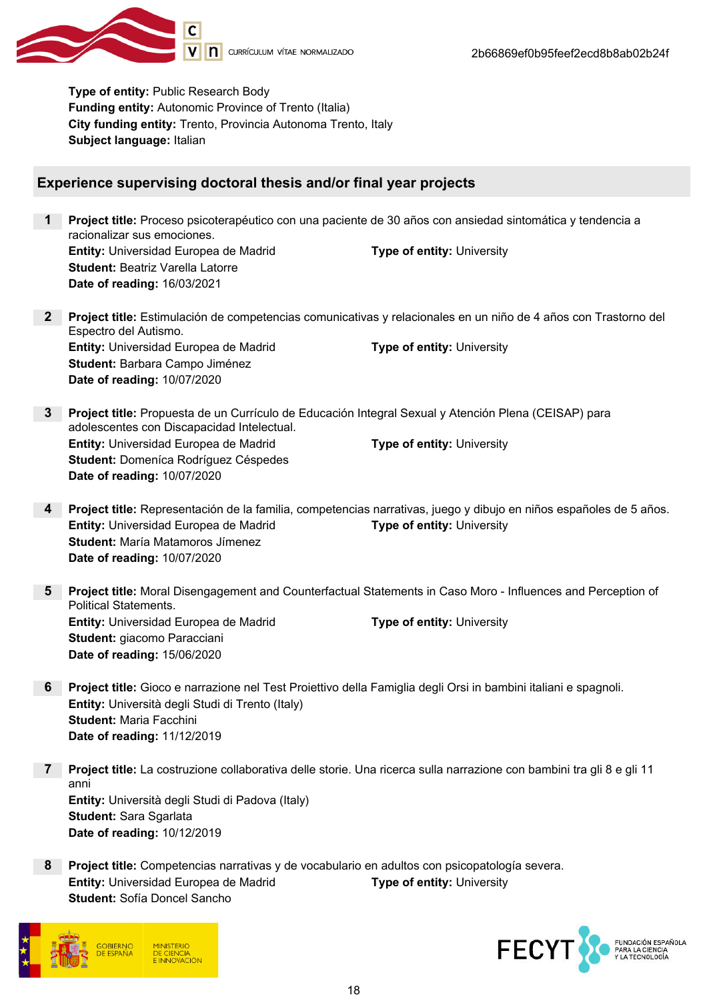

Type of entity: Public Research Body Funding entity: Autonomic Province of Trento (Italia) City funding entity: Trento, Provincia Autonoma Trento, Italy Subject language: Italian

# Experience supervising doctoral thesis and/or final year projects

- 1 Project title: Proceso psicoterapéutico con una paciente de 30 años con ansiedad sintomática y tendencia a racionalizar sus emociones. **Entity:** Universidad Europea de Madrid **Type of entity:** University Student: Beatriz Varella Latorre Date of reading: 16/03/2021
- 2 Project title: Estimulación de competencias comunicativas y relacionales en un niño de 4 años con Trastorno del Espectro del Autismo. **Entity:** Universidad Europea de Madrid Type of entity: University Student: Barbara Campo Jiménez Date of reading: 10/07/2020
- 3 Project title: Propuesta de un Currículo de Educación Integral Sexual y Atención Plena (CEISAP) para adolescentes con Discapacidad Intelectual. **Entity:** Universidad Europea de Madrid Type of entity: University Student: Domeníca Rodríguez Céspedes Date of reading: 10/07/2020
- 4 Project title: Representación de la familia, competencias narrativas, juego y dibujo en niños españoles de 5 años. **Entity:** Universidad Europea de Madrid Type of entity: University Student: María Matamoros Jímenez Date of reading: 10/07/2020
- 5 Project title: Moral Disengagement and Counterfactual Statements in Caso Moro Influences and Perception of Political Statements. **Entity:** Universidad Europea de Madrid Type of entity: University Student: giacomo Paracciani Date of reading: 15/06/2020
- 6 Project title: Gioco e narrazione nel Test Proiettivo della Famiglia degli Orsi in bambini italiani e spagnoli. Entity: Università degli Studi di Trento (Italy) Student: Maria Facchini Date of reading: 11/12/2019
- 7 Project title: La costruzione collaborativa delle storie. Una ricerca sulla narrazione con bambini tra gli 8 e gli 11 anni Entity: Università degli Studi di Padova (Italy) Student: Sara Sgarlata Date of reading: 10/12/2019
- 8 Project title: Competencias narrativas y de vocabulario en adultos con psicopatología severa. **Entity:** Universidad Europea de Madrid Type of entity: University Student: Sofía Doncel Sancho



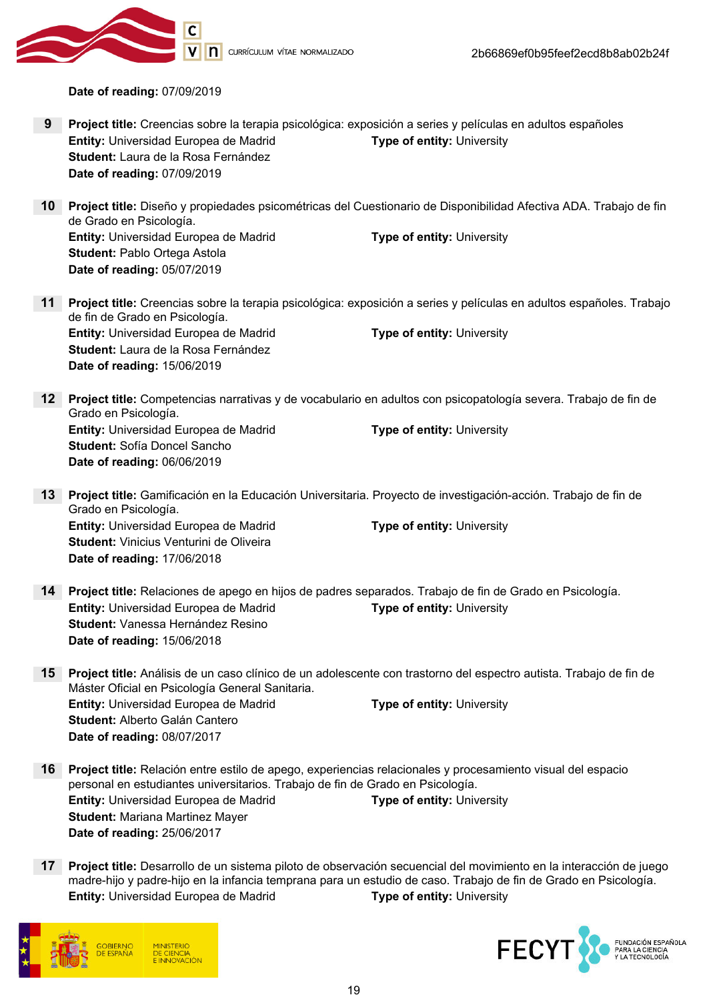

V | | | CURRÍCULUM VÍTAE NORMALIZADO

Date of reading: 07/09/2019

- 9 Project title: Creencias sobre la terapia psicológica: exposición a series y películas en adultos españoles **Entity:** Universidad Europea de Madrid Type of entity: University Student: Laura de la Rosa Fernández Date of reading: 07/09/2019
- 10 Project title: Diseño y propiedades psicométricas del Cuestionario de Disponibilidad Afectiva ADA. Trabajo de fin de Grado en Psicología. **Entity:** Universidad Europea de Madrid Type of entity: University Student: Pablo Ortega Astola Date of reading: 05/07/2019
- 11 Project title: Creencias sobre la terapia psicológica: exposición a series y películas en adultos españoles. Trabajo de fin de Grado en Psicología. **Entity:** Universidad Europea de Madrid Type of entity: University Student: Laura de la Rosa Fernández Date of reading: 15/06/2019
- 12 Project title: Competencias narrativas y de vocabulario en adultos con psicopatología severa. Trabajo de fin de Grado en Psicología. **Entity:** Universidad Europea de Madrid Type of entity: University Student: Sofía Doncel Sancho Date of reading: 06/06/2019
- 13 Project title: Gamificación en la Educación Universitaria. Proyecto de investigación-acción. Trabajo de fin de Grado en Psicología. Entity: Universidad Europea de Madrid Type of entity: University Student: Vinicius Venturini de Oliveira Date of reading: 17/06/2018
- 14 Project title: Relaciones de apego en hijos de padres separados. Trabajo de fin de Grado en Psicología. Entity: Universidad Europea de Madrid Type of entity: University Student: Vanessa Hernández Resino Date of reading: 15/06/2018
- 15 Project title: Análisis de un caso clínico de un adolescente con trastorno del espectro autista. Trabajo de fin de Máster Oficial en Psicología General Sanitaria. **Entity:** Universidad Europea de Madrid Type of entity: University Student: Alberto Galán Cantero Date of reading: 08/07/2017
- 16 Project title: Relación entre estilo de apego, experiencias relacionales y procesamiento visual del espacio personal en estudiantes universitarios. Trabajo de fin de Grado en Psicología. **Entity:** Universidad Europea de Madrid Type of entity: University Student: Mariana Martinez Mayer Date of reading: 25/06/2017
- 17 Project title: Desarrollo de un sistema piloto de observación secuencial del movimiento en la interacción de juego madre-hijo y padre-hijo en la infancia temprana para un estudio de caso. Trabajo de fin de Grado en Psicología. **Entity:** Universidad Europea de Madrid Type of entity: University



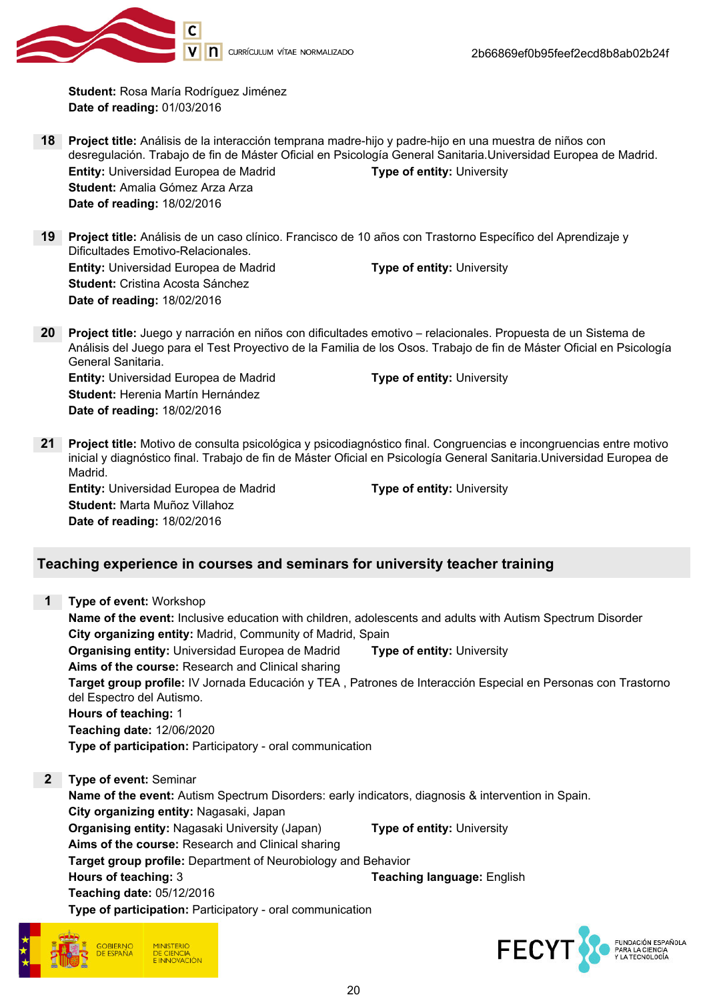

Student: Rosa María Rodríguez Jiménez Date of reading: 01/03/2016

- 18 Project title: Análisis de la interacción temprana madre-hijo y padre-hijo en una muestra de niños con desregulación. Trabajo de fin de Máster Oficial en Psicología General Sanitaria.Universidad Europea de Madrid. Entity: Universidad Europea de Madrid Type of entity: University Student: Amalia Gómez Arza Arza Date of reading: 18/02/2016
- 19 Project title: Análisis de un caso clínico. Francisco de 10 años con Trastorno Específico del Aprendizaje y Dificultades Emotivo-Relacionales. **Entity:** Universidad Europea de Madrid Type of entity: University Student: Cristina Acosta Sánchez Date of reading: 18/02/2016
- 20 Project title: Juego y narración en niños con dificultades emotivo relacionales. Propuesta de un Sistema de Análisis del Juego para el Test Proyectivo de la Familia de los Osos. Trabajo de fin de Máster Oficial en Psicología General Sanitaria. **Entity:** Universidad Europea de Madrid Type of entity: University Student: Herenia Martín Hernández Date of reading: 18/02/2016
- 21 Project title: Motivo de consulta psicológica y psicodiagnóstico final. Congruencias e incongruencias entre motivo inicial y diagnóstico final. Trabajo de fin de Máster Oficial en Psicología General Sanitaria.Universidad Europea de Madrid.

Entity: Universidad Europea de Madrid Type of entity: University Student: Marta Muñoz Villahoz Date of reading: 18/02/2016

# Teaching experience in courses and seminars for university teacher training

| 1                                                 | Type of event: Workshop                                                                                                                   |  |  |
|---------------------------------------------------|-------------------------------------------------------------------------------------------------------------------------------------------|--|--|
|                                                   | Name of the event: Inclusive education with children, adolescents and adults with Autism Spectrum Disorder                                |  |  |
|                                                   | City organizing entity: Madrid, Community of Madrid, Spain                                                                                |  |  |
|                                                   | <b>Organising entity: Universidad Europea de Madrid</b><br><b>Type of entity: University</b>                                              |  |  |
|                                                   | Aims of the course: Research and Clinical sharing                                                                                         |  |  |
|                                                   | Target group profile: IV Jornada Educación y TEA, Patrones de Interacción Especial en Personas con Trastorno<br>del Espectro del Autismo. |  |  |
|                                                   | Hours of teaching: 1                                                                                                                      |  |  |
|                                                   | Teaching date: 12/06/2020                                                                                                                 |  |  |
|                                                   | Type of participation: Participatory - oral communication                                                                                 |  |  |
| $\mathbf{2}$                                      | Type of event: Seminar                                                                                                                    |  |  |
|                                                   | Name of the event: Autism Spectrum Disorders: early indicators, diagnosis & intervention in Spain.                                        |  |  |
|                                                   | City organizing entity: Nagasaki, Japan                                                                                                   |  |  |
|                                                   | <b>Organising entity: Nagasaki University (Japan)</b><br>Type of entity: University                                                       |  |  |
| Aims of the course: Research and Clinical sharing |                                                                                                                                           |  |  |
|                                                   | Target group profile: Department of Neurobiology and Behavior                                                                             |  |  |
|                                                   | Hours of teaching: 3<br><b>Teaching language: English</b>                                                                                 |  |  |
|                                                   | Teaching date: 05/12/2016                                                                                                                 |  |  |
|                                                   | Tuna af nautialnatian: Dautialnatan: Land aanoministian                                                                                   |  |  |





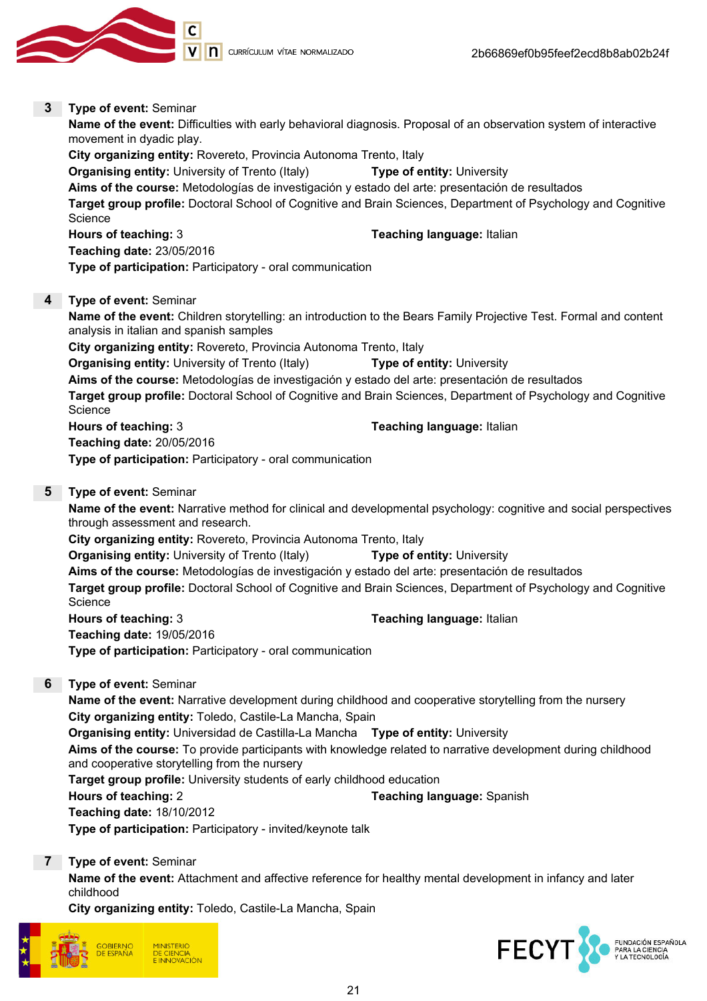

3 Type of event: Seminar

# Name of the event: Difficulties with early behavioral diagnosis. Proposal of an observation system of interactive movement in dyadic play. City organizing entity: Rovereto, Provincia Autonoma Trento, Italy **Organising entity:** University of Trento (Italy) **Type of entity:** University Aims of the course: Metodologías de investigación y estado del arte: presentación de resultados Target group profile: Doctoral School of Cognitive and Brain Sciences, Department of Psychology and Cognitive **Science** Hours of teaching: 3 Teaching language: Italian Teaching date: 23/05/2016 Type of participation: Participatory - oral communication

#### 4 Type of event: Seminar

Name of the event: Children storytelling: an introduction to the Bears Family Projective Test. Formal and content analysis in italian and spanish samples City organizing entity: Rovereto, Provincia Autonoma Trento, Italy Organising entity: University of Trento (Italy) Type of entity: University Aims of the course: Metodologías de investigación y estado del arte: presentación de resultados Target group profile: Doctoral School of Cognitive and Brain Sciences, Department of Psychology and Cognitive **Science** Hours of teaching: 3 Teaching language: Italian Teaching date: 20/05/2016 Type of participation: Participatory - oral communication

## 5 Type of event: Seminar

Name of the event: Narrative method for clinical and developmental psychology: cognitive and social perspectives through assessment and research.

City organizing entity: Rovereto, Provincia Autonoma Trento, Italy

**Organising entity:** University of Trento (Italy) **Type of entity:** University Aims of the course: Metodologías de investigación y estado del arte: presentación de resultados Target group profile: Doctoral School of Cognitive and Brain Sciences, Department of Psychology and Cognitive **Science** 

Hours of teaching: 3 Teaching language: Italian Teaching date: 19/05/2016 Type of participation: Participatory - oral communication

## 6 Type of event: Seminar

Name of the event: Narrative development during childhood and cooperative storytelling from the nursery City organizing entity: Toledo, Castile-La Mancha, Spain

Organising entity: Universidad de Castilla-La Mancha Type of entity: University

Aims of the course: To provide participants with knowledge related to narrative development during childhood and cooperative storytelling from the nursery

Target group profile: University students of early childhood education

Hours of teaching: 2 Teaching language: Spanish

Teaching date: 18/10/2012

Type of participation: Participatory - invited/keynote talk

7 Type of event: Seminar

Name of the event: Attachment and affective reference for healthy mental development in infancy and later childhood

City organizing entity: Toledo, Castile-La Mancha, Spain



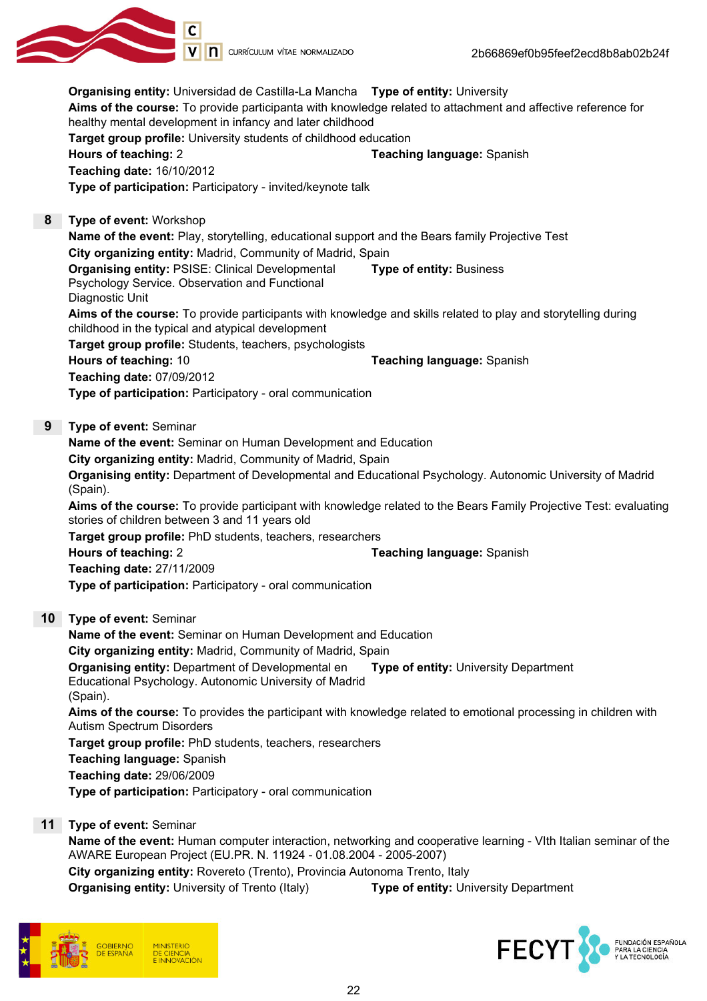

Organising entity: Universidad de Castilla-La Mancha Type of entity: University Aims of the course: To provide participanta with knowledge related to attachment and affective reference for healthy mental development in infancy and later childhood Target group profile: University students of childhood education Hours of teaching: 2 Teaching language: Spanish Teaching date: 16/10/2012 Type of participation: Participatory - invited/keynote talk 8 Type of event: Workshop Name of the event: Play, storytelling, educational support and the Bears family Projective Test City organizing entity: Madrid, Community of Madrid, Spain Organising entity: PSISE: Clinical Developmental Psychology Service. Observation and Functional Diagnostic Unit Type of entity: Business Aims of the course: To provide participants with knowledge and skills related to play and storytelling during childhood in the typical and atypical development Target group profile: Students, teachers, psychologists **Hours of teaching: 10 Teaching language: Spanish Reaching language: Spanish Reaching language: Spanish Reaching language: Spanish Reaching language: Spanish Reaching language: Spanish Reaching Spanish Reaching Spanish Rea** Teaching date: 07/09/2012 Type of participation: Participatory - oral communication 9 Type of event: Seminar Name of the event: Seminar on Human Development and Education City organizing entity: Madrid, Community of Madrid, Spain Organising entity: Department of Developmental and Educational Psychology. Autonomic University of Madrid (Spain). Aims of the course: To provide participant with knowledge related to the Bears Family Projective Test: evaluating stories of children between 3 and 11 years old Target group profile: PhD students, teachers, researchers Hours of teaching: 2 Teaching language: Spanish Teaching date: 27/11/2009 Type of participation: Participatory - oral communication 10 Type of event: Seminar Name of the event: Seminar on Human Development and Education City organizing entity: Madrid, Community of Madrid, Spain **Organising entity: Department of Developmental en** Educational Psychology. Autonomic University of Madrid (Spain). Type of entity: University Department Aims of the course: To provides the participant with knowledge related to emotional processing in children with Autism Spectrum Disorders Target group profile: PhD students, teachers, researchers Teaching language: Spanish Teaching date: 29/06/2009 Type of participation: Participatory - oral communication

#### 11 Type of event: Seminar

Name of the event: Human computer interaction, networking and cooperative learning - VIth Italian seminar of the AWARE European Project (EU.PR. N. 11924 - 01.08.2004 - 2005-2007) City organizing entity: Rovereto (Trento), Provincia Autonoma Trento, Italy **Organising entity:** University of Trento (Italy) **Type of entity:** University Department



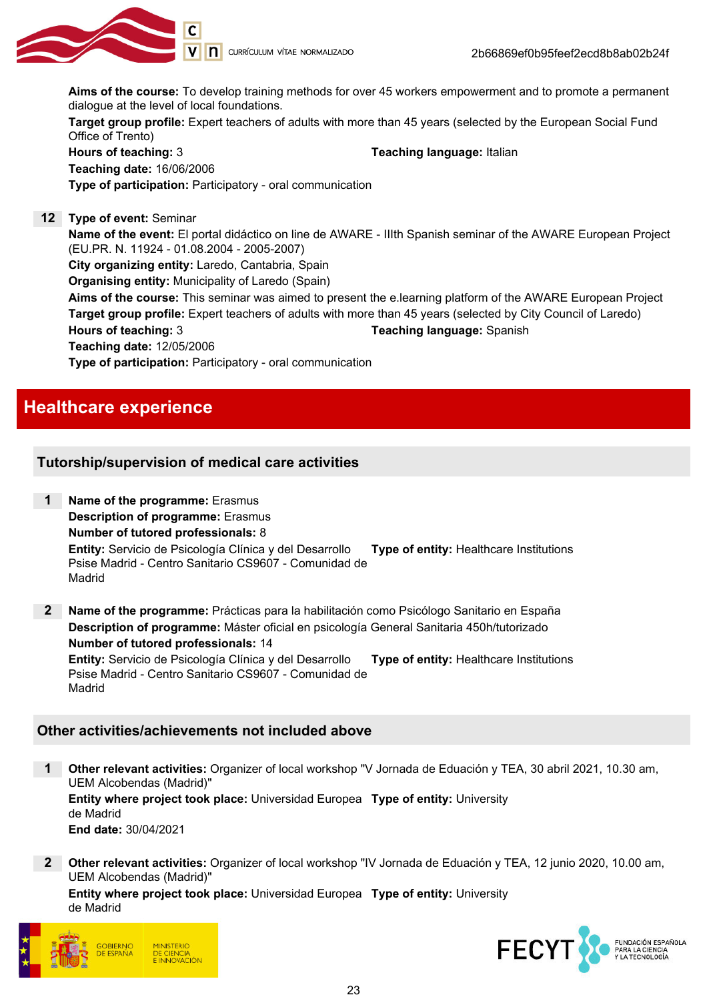

Aims of the course: To develop training methods for over 45 workers empowerment and to promote a permanent dialogue at the level of local foundations.

Target group profile: Expert teachers of adults with more than 45 years (selected by the European Social Fund Office of Trento)

Hours of teaching: 3 Teaching language: Italian Teaching date: 16/06/2006 Type of participation: Participatory - oral communication

12 Type of event: Seminar

Name of the event: El portal didáctico on line de AWARE - IIIth Spanish seminar of the AWARE European Project (EU.PR. N. 11924 - 01.08.2004 - 2005-2007)

City organizing entity: Laredo, Cantabria, Spain

Organising entity: Municipality of Laredo (Spain)

Aims of the course: This seminar was aimed to present the e.learning platform of the AWARE European Project Target group profile: Expert teachers of adults with more than 45 years (selected by City Council of Laredo) Hours of teaching: 3 Teaching language: Spanish

Teaching date: 12/05/2006

Type of participation: Participatory - oral communication

# Healthcare experience

# Tutorship/supervision of medical care activities

1 Name of the programme: Erasmus Description of programme: Erasmus Number of tutored professionals: 8 Entity: Servicio de Psicología Clínica y del Desarrollo Psise Madrid - Centro Sanitario CS9607 - Comunidad de Madrid Type of entity: Healthcare Institutions 2 Name of the programme: Prácticas para la habilitación como Psicólogo Sanitario en España

Description of programme: Máster oficial en psicología General Sanitaria 450h/tutorizado Number of tutored professionals: 14 Entity: Servicio de Psicología Clínica y del Desarrollo Type of entity: Healthcare Institutions

Psise Madrid - Centro Sanitario CS9607 - Comunidad de Madrid

# Other activities/achievements not included above

1 Other relevant activities: Organizer of local workshop "V Jornada de Eduación y TEA, 30 abril 2021, 10.30 am, UEM Alcobendas (Madrid)" Entity where project took place: Universidad Europea Type of entity: University de Madrid End date: 30/04/2021

2 Other relevant activities: Organizer of local workshop "IV Jornada de Eduación y TEA, 12 junio 2020, 10.00 am, UEM Alcobendas (Madrid)"

Entity where project took place: Universidad Europea Type of entity: Universityde Madrid



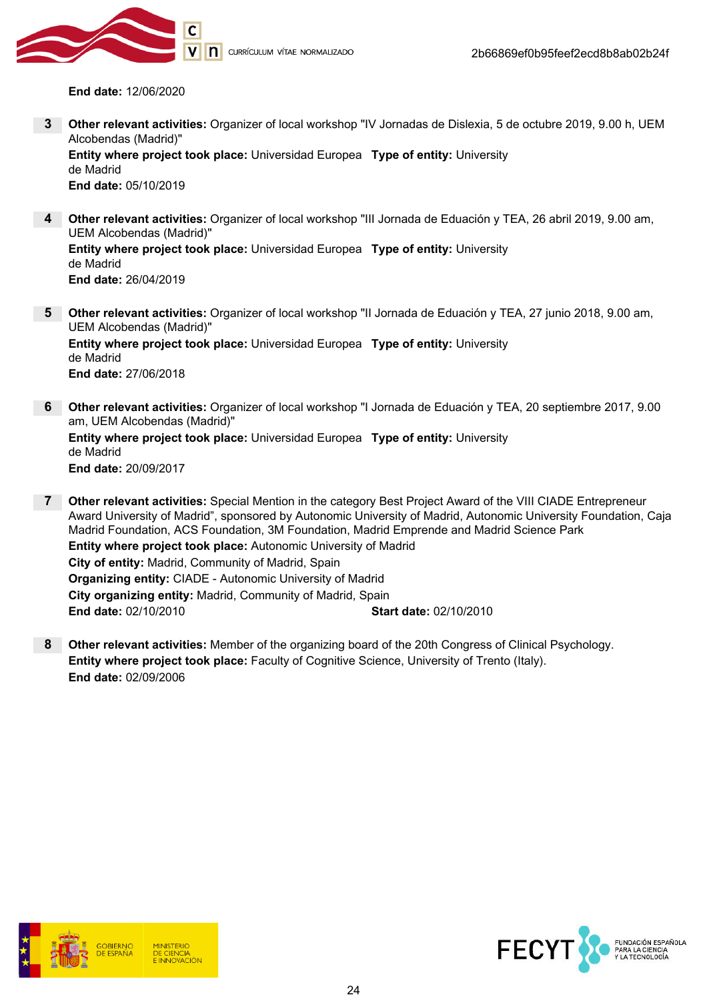

CURRÍCULUM VÍTAE NORMALIZADO

End date: 12/06/2020

3 Other relevant activities: Organizer of local workshop "IV Jornadas de Dislexia, 5 de octubre 2019, 9.00 h, UEM Alcobendas (Madrid)"

Entity where project took place: Universidad Europea Type of entity: University de Madrid End date: 05/10/2019

4 Other relevant activities: Organizer of local workshop "III Jornada de Eduación y TEA, 26 abril 2019, 9.00 am, UEM Alcobendas (Madrid)" Entity where project took place: Universidad Europea Type of entity: University de Madrid

End date: 26/04/2019

- 5 Other relevant activities: Organizer of local workshop "II Jornada de Eduación y TEA, 27 junio 2018, 9.00 am, UEM Alcobendas (Madrid)" Entity where project took place: Universidad Europea Type of entity: University de Madrid End date: 27/06/2018
- 6 Other relevant activities: Organizer of local workshop "I Jornada de Eduación y TEA, 20 septiembre 2017, 9.00 am, UEM Alcobendas (Madrid)" Entity where project took place: Universidad Europea Type of entity: University de Madrid End date: 20/09/2017
- 7 Other relevant activities: Special Mention in the category Best Project Award of the VIII CIADE Entrepreneur Award University of Madrid", sponsored by Autonomic University of Madrid, Autonomic University Foundation, Caja Madrid Foundation, ACS Foundation, 3M Foundation, Madrid Emprende and Madrid Science Park Entity where project took place: Autonomic University of Madrid City of entity: Madrid, Community of Madrid, Spain Organizing entity: CIADE - Autonomic University of Madrid City organizing entity: Madrid, Community of Madrid, Spain End date: 02/10/2010 Start date: 02/10/2010
- 8 Other relevant activities: Member of the organizing board of the 20th Congress of Clinical Psychology. Entity where project took place: Faculty of Cognitive Science, University of Trento (Italy). End date: 02/09/2006



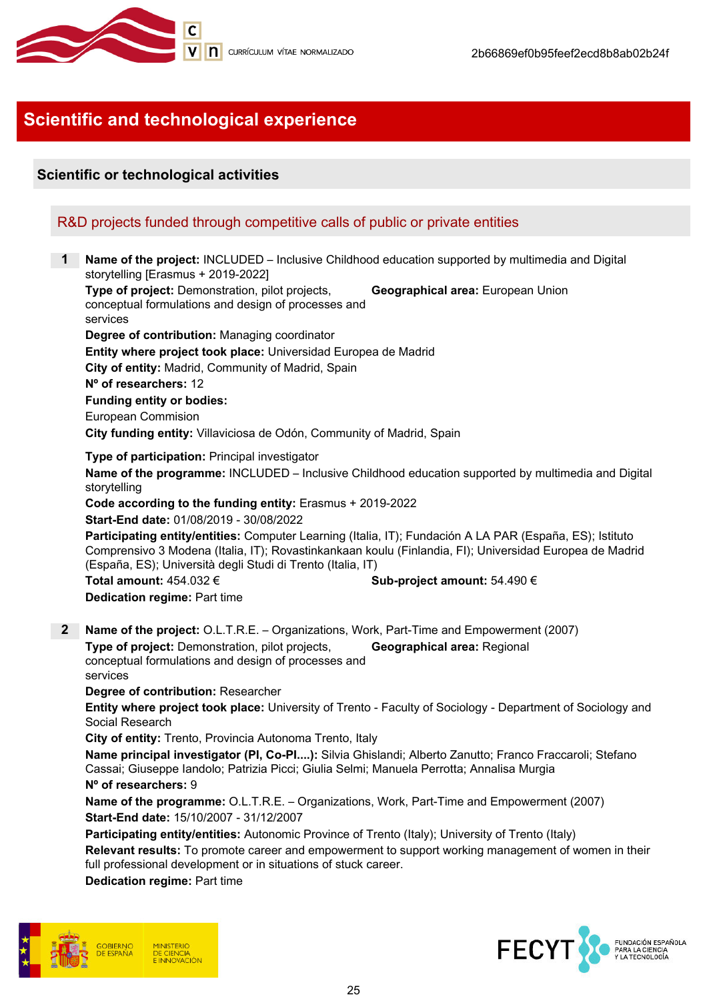

# Scientific and technological experience

# Scientific or technological activities

# R&D projects funded through competitive calls of public or private entities

**Name of the project: INCLUDED – Inclusive Childhood education supported by multimedia and Digital** storytelling [Erasmus + 2019-2022] Type of project: Demonstration, pilot projects, conceptual formulations and design of processes and services Geographical area: European Union Degree of contribution: Managing coordinator Entity where project took place: Universidad Europea de Madrid City of entity: Madrid, Community of Madrid, Spain Nº of researchers: 12 Funding entity or bodies: European Commision City funding entity: Villaviciosa de Odón, Community of Madrid, Spain Type of participation: Principal investigator Name of the programme: INCLUDED – Inclusive Childhood education supported by multimedia and Digital storytelling Code according to the funding entity: Erasmus + 2019-2022 Start-End date: 01/08/2019 - 30/08/2022 Participating entity/entities: Computer Learning (Italia, IT); Fundación A LA PAR (España, ES); Istituto Comprensivo 3 Modena (Italia, IT); Rovastinkankaan koulu (Finlandia, FI); Universidad Europea de Madrid (España, ES); Università degli Studi di Trento (Italia, IT) Total amount:  $454.032 \in$  Sub-project amount:  $54.490 \in$ Dedication regime: Part time 2 Name of the project: O.L.T.R.E. – Organizations, Work, Part-Time and Empowerment (2007) Type of project: Demonstration, pilot projects, conceptual formulations and design of processes and services Geographical area: Regional Degree of contribution: Researcher Entity where project took place: University of Trento - Faculty of Sociology - Department of Sociology and Social Research City of entity: Trento, Provincia Autonoma Trento, Italy Name principal investigator (PI, Co-PI....): Silvia Ghislandi; Alberto Zanutto; Franco Fraccaroli: Stefano Cassai; Giuseppe Iandolo; Patrizia Picci; Giulia Selmi; Manuela Perrotta; Annalisa Murgia

#### Nº of researchers: 9

Name of the programme: O.L.T.R.E. – Organizations, Work, Part-Time and Empowerment (2007) Start-End date: 15/10/2007 - 31/12/2007

Participating entity/entities: Autonomic Province of Trento (Italy); University of Trento (Italy)

Relevant results: To promote career and empowerment to support working management of women in their full professional development or in situations of stuck career.

Dedication regime: Part time



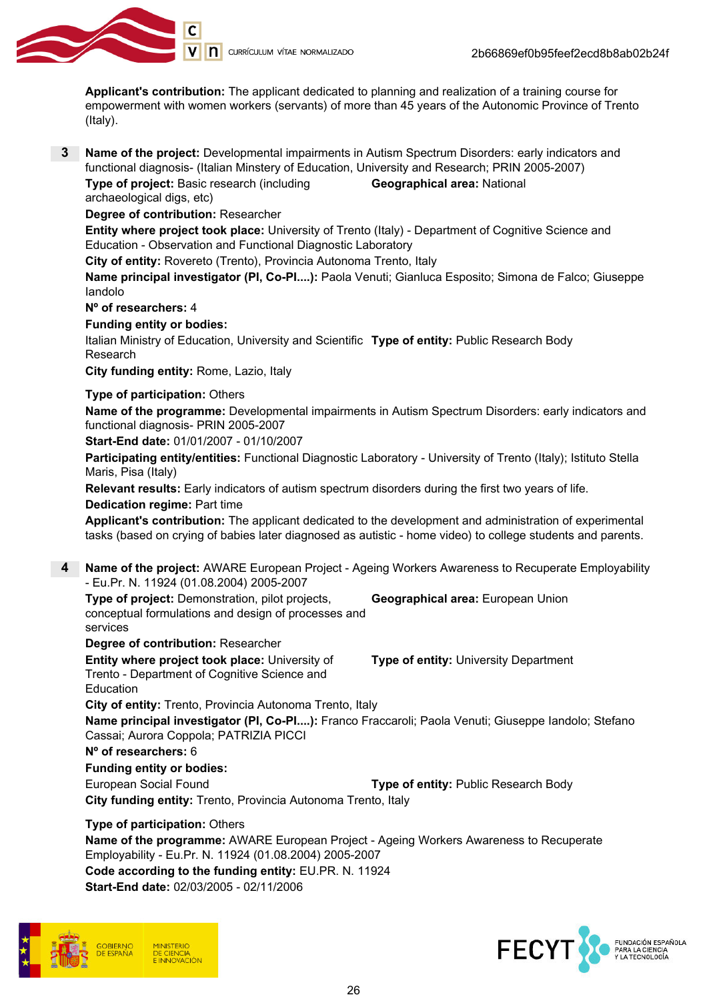

Applicant's contribution: The applicant dedicated to planning and realization of a training course for empowerment with women workers (servants) of more than 45 years of the Autonomic Province of Trento (Italy).

3 Name of the project: Developmental impairments in Autism Spectrum Disorders: early indicators and functional diagnosis- (Italian Minstery of Education, University and Research; PRIN 2005-2007)

Type of project: Basic research (including archaeological digs, etc) Geographical area: National

Degree of contribution: Researcher

Entity where project took place: University of Trento (Italy) - Department of Cognitive Science and Education - Observation and Functional Diagnostic Laboratory

City of entity: Rovereto (Trento), Provincia Autonoma Trento, Italy

Name principal investigator (PI, Co-PI....): Paola Venuti; Gianluca Esposito; Simona de Falco; Giuseppe Iandolo

Nº of researchers: 4

#### Funding entity or bodies:

Italian Ministry of Education, University and Scientific **Type of entity:** Public Research Body Research

City funding entity: Rome, Lazio, Italy

## Type of participation: Others

Name of the programme: Developmental impairments in Autism Spectrum Disorders: early indicators and functional diagnosis- PRIN 2005-2007

Start-End date: 01/01/2007 - 01/10/2007

Participating entity/entities: Functional Diagnostic Laboratory - University of Trento (Italy); Istituto Stella Maris, Pisa (Italy)

Relevant results: Early indicators of autism spectrum disorders during the first two years of life.

Dedication regime: Part time

Applicant's contribution: The applicant dedicated to the development and administration of experimental tasks (based on crying of babies later diagnosed as autistic - home video) to college students and parents.

4 Name of the project: AWARE European Project - Ageing Workers Awareness to Recuperate Employability - Eu.Pr. N. 11924 (01.08.2004) 2005-2007

Type of project: Demonstration, pilot projects, conceptual formulations and design of processes and services Geographical area: European Union

Degree of contribution: Researcher

Entity where project took place: University of Trento - Department of Cognitive Science and Education

Type of entity: University Department

City of entity: Trento, Provincia Autonoma Trento, Italy Name principal investigator (PI, Co-PI....): Franco Fraccaroli; Paola Venuti; Giuseppe Iandolo; Stefano Cassai; Aurora Coppola; PATRIZIA PICCI

## Nº of researchers: 6

Funding entity or bodies:

European Social Found **Type of entity:** Public Research Body

City funding entity: Trento, Provincia Autonoma Trento, Italy

Type of participation: Others

Name of the programme: AWARE European Project - Ageing Workers Awareness to Recuperate Employability - Eu.Pr. N. 11924 (01.08.2004) 2005-2007 Code according to the funding entity: EU.PR. N. 11924 Start-End date: 02/03/2005 - 02/11/2006



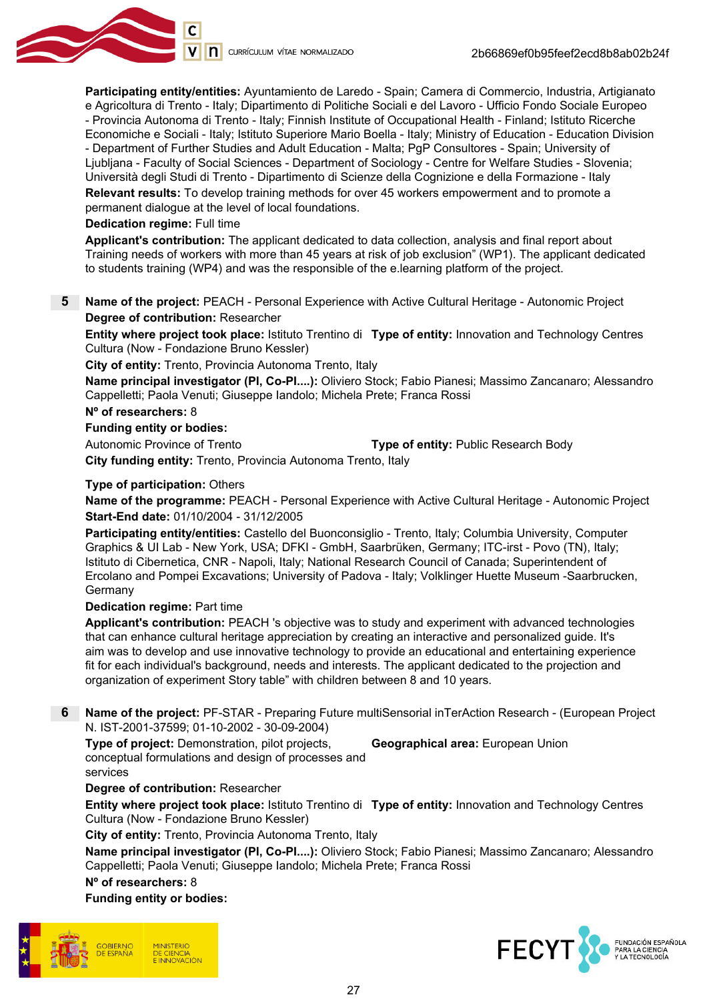

Participating entity/entities: Ayuntamiento de Laredo - Spain; Camera di Commercio, Industria, Artigianato e Agricoltura di Trento - Italy; Dipartimento di Politiche Sociali e del Lavoro - Ufficio Fondo Sociale Europeo - Provincia Autonoma di Trento - Italy; Finnish Institute of Occupational Health - Finland; Istituto Ricerche Economiche e Sociali - Italy; Istituto Superiore Mario Boella - Italy; Ministry of Education - Education Division - Department of Further Studies and Adult Education - Malta; PgP Consultores - Spain; University of Ljubljana - Faculty of Social Sciences - Department of Sociology - Centre for Welfare Studies - Slovenia; Università degli Studi di Trento - Dipartimento di Scienze della Cognizione e della Formazione - Italy

Relevant results: To develop training methods for over 45 workers empowerment and to promote a permanent dialogue at the level of local foundations.

#### Dedication regime: Full time

Applicant's contribution: The applicant dedicated to data collection, analysis and final report about Training needs of workers with more than 45 years at risk of job exclusion" (WP1). The applicant dedicated to students training (WP4) and was the responsible of the e.learning platform of the project.

#### 5 Name of the project: PEACH - Personal Experience with Active Cultural Heritage - Autonomic Project Degree of contribution: Researcher

**Entity where project took place:** Istituto Trentino di **Type of entity:** Innovation and Technology Centres Cultura (Now - Fondazione Bruno Kessler)

City of entity: Trento, Provincia Autonoma Trento, Italy

Name principal investigator (PI, Co-PI....): Oliviero Stock; Fabio Pianesi; Massimo Zancanaro; Alessandro Cappelletti; Paola Venuti; Giuseppe Iandolo; Michela Prete; Franca Rossi

#### Nº of researchers: 8

#### Funding entity or bodies:

Autonomic Province of Trento **Transform Control Type of entity:** Public Research Body

City funding entity: Trento, Provincia Autonoma Trento, Italy

#### Type of participation: Others

Name of the programme: PEACH - Personal Experience with Active Cultural Heritage - Autonomic Project Start-End date: 01/10/2004 - 31/12/2005

Participating entity/entities: Castello del Buonconsiglio - Trento, Italy; Columbia University, Computer Graphics & UI Lab - New York, USA; DFKI - GmbH, Saarbrüken, Germany; ITC-irst - Povo (TN), Italy; Istituto di Cibernetica, CNR - Napoli, Italy; National Research Council of Canada; Superintendent of Ercolano and Pompei Excavations; University of Padova - Italy; Volklinger Huette Museum -Saarbrucken, Germany

#### Dedication regime: Part time

Applicant's contribution: PEACH 's objective was to study and experiment with advanced technologies that can enhance cultural heritage appreciation by creating an interactive and personalized guide. It's aim was to develop and use innovative technology to provide an educational and entertaining experience fit for each individual's background, needs and interests. The applicant dedicated to the projection and organization of experiment Story table" with children between 8 and 10 years.

6 Name of the project: PF-STAR - Preparing Future multiSensorial inTerAction Research - (European Project N. IST-2001-37599; 01-10-2002 - 30-09-2004)

Type of project: Demonstration, pilot projects, conceptual formulations and design of processes and services

Geographical area: European Union

## Degree of contribution: Researcher

**Entity where project took place:** Istituto Trentino di **Type of entity:** Innovation and Technology Centres Cultura (Now - Fondazione Bruno Kessler)

City of entity: Trento, Provincia Autonoma Trento, Italy

Name principal investigator (PI, Co-PI....): Oliviero Stock; Fabio Pianesi; Massimo Zancanaro; Alessandro Cappelletti; Paola Venuti; Giuseppe Iandolo; Michela Prete; Franca Rossi

Nº of researchers: 8

## Funding entity or bodies:



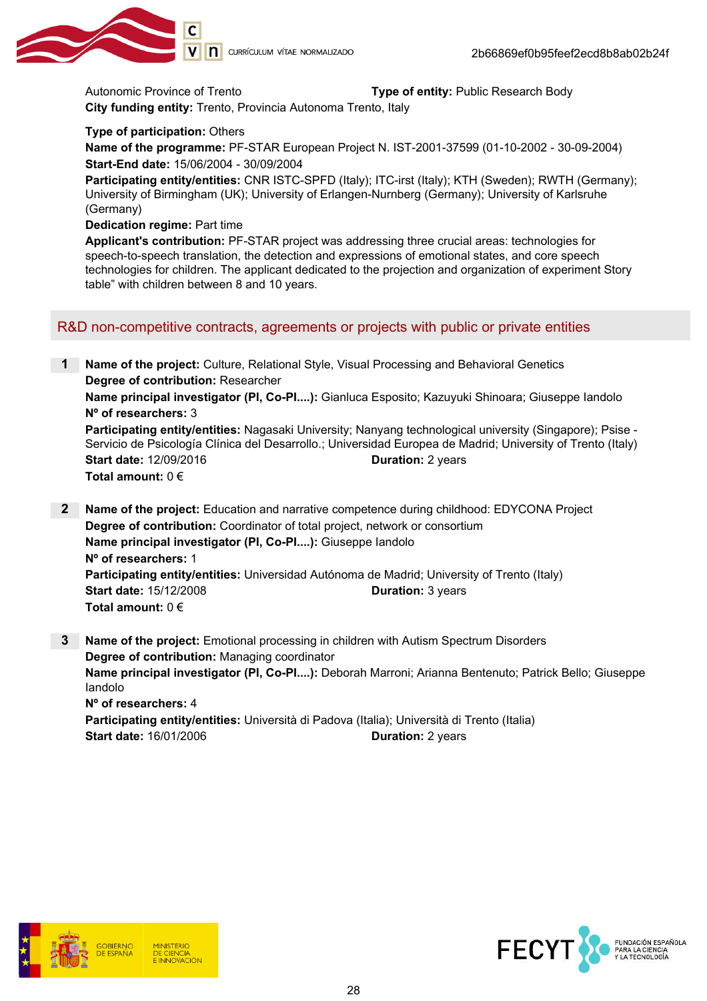

Autonomic Province of Trento Type of entity: Public Research Body

City funding entity: Trento, Provincia Autonoma Trento, Italy

Type of participation: Others

Name of the programme: PF-STAR European Project N. IST-2001-37599 (01-10-2002 - 30-09-2004) Start-End date: 15/06/2004 - 30/09/2004

Participating entity/entities: CNR ISTC-SPFD (Italy); ITC-irst (Italy); KTH (Sweden); RWTH (Germany); University of Birmingham (UK); University of Erlangen-Nurnberg (Germany); University of Karlsruhe (Germany)

Dedication regime: Part time

Applicant's contribution: PF-STAR project was addressing three crucial areas: technologies for speech-to-speech translation, the detection and expressions of emotional states, and core speech technologies for children. The applicant dedicated to the projection and organization of experiment Story table" with children between 8 and 10 years.

## R&D non-competitive contracts, agreements or projects with public or private entities

1 Name of the project: Culture, Relational Style, Visual Processing and Behavioral Genetics Degree of contribution: Researcher Name principal investigator (PI, Co-PI....): Gianluca Esposito; Kazuyuki Shinoara; Giuseppe Iandolo Nº of researchers: 3 Participating entity/entities: Nagasaki University; Nanyang technological university (Singapore); Psise -Servicio de Psicología Clínica del Desarrollo.; Universidad Europea de Madrid; University of Trento (Italy) Start date: 12/09/2016 **Duration: 2 years** Total amount:  $0 \in$ 

- 2 Name of the project: Education and narrative competence during childhood: EDYCONA Project Degree of contribution: Coordinator of total project, network or consortium Name principal investigator (PI, Co-PI....): Giuseppe Iandolo Nº of researchers: 1 Participating entity/entities: Universidad Autónoma de Madrid; University of Trento (Italy) Start date: 15/12/2008 Duration: 3 years Total amount:  $0 \in$
- 3 Name of the project: Emotional processing in children with Autism Spectrum Disorders Degree of contribution: Managing coordinator Name principal investigator (PI, Co-PI....): Deborah Marroni; Arianna Bentenuto; Patrick Bello; Giuseppe Iandolo Nº of researchers: 4 Participating entity/entities: Università di Padova (Italia); Università di Trento (Italia) Start date: 16/01/2006 **Duration: 2 years**



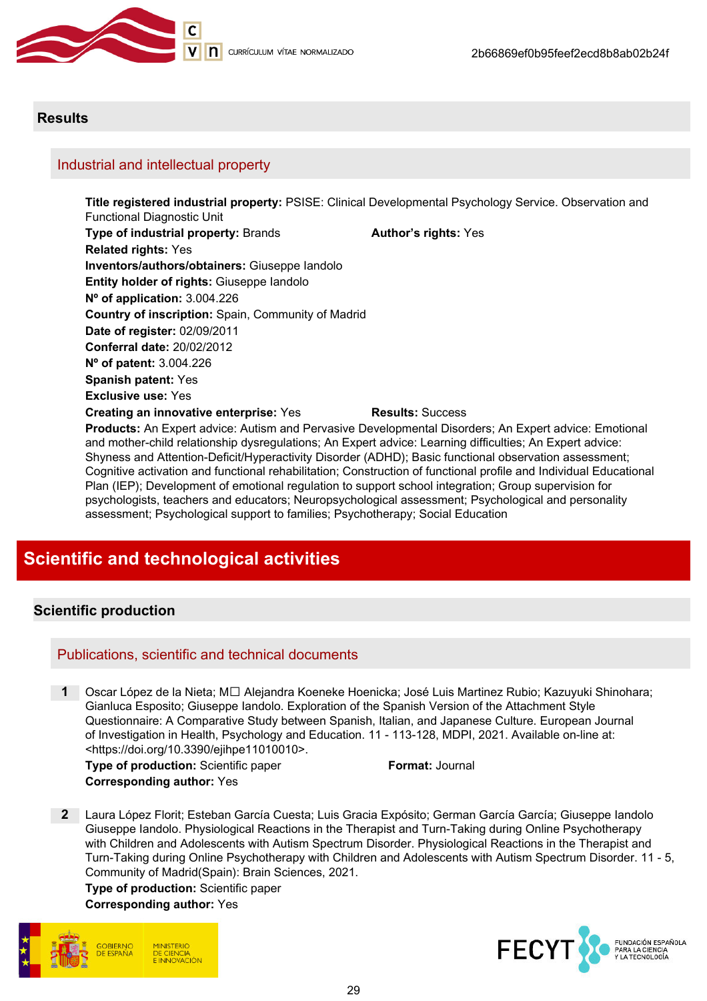

## **Results**

## Industrial and intellectual property

Title registered industrial property: PSISE: Clinical Developmental Psychology Service. Observation and Functional Diagnostic Unit Type of industrial property: Brands **Author's rights: Yes** Related rights: Yes Inventors/authors/obtainers: Giuseppe Iandolo Entity holder of rights: Giuseppe Iandolo Nº of application: 3.004.226 Country of inscription: Spain, Community of Madrid Date of register: 02/09/2011 Conferral date: 20/02/2012 Nº of patent: 3.004.226 Spanish patent: Yes Exclusive use: Yes Creating an innovative enterprise: Yes Results: Success Products: An Expert advice: Autism and Pervasive Developmental Disorders; An Expert advice: Emotional and mother-child relationship dysregulations; An Expert advice: Learning difficulties; An Expert advice:

Shyness and Attention-Deficit/Hyperactivity Disorder (ADHD); Basic functional observation assessment; Cognitive activation and functional rehabilitation; Construction of functional profile and Individual Educational Plan (IEP); Development of emotional regulation to support school integration; Group supervision for psychologists, teachers and educators; Neuropsychological assessment; Psychological and personality assessment; Psychological support to families; Psychotherapy; Social Education

# Scientific and technological activities

# Scientific production

## Publications, scientific and technical documents

Oscar López de la Nieta; M□ Alejandra Koeneke Hoenicka; José Luis Martinez Rubio; Kazuyuki Shinohara; Gianluca Esposito; Giuseppe Iandolo. Exploration of the Spanish Version of the Attachment Style Questionnaire: A Comparative Study between Spanish, Italian, and Japanese Culture. European Journal of Investigation in Health, Psychology and Education. 11 - 113-128, MDPI, 2021. Available on-line at: <https://doi.org/10.3390/ejihpe11010010>.

Type of production: Scientific paper Format: Journal Corresponding author: Yes

2 Laura López Florit; Esteban García Cuesta; Luis Gracia Expósito; German García García; Giuseppe Iandolo Giuseppe Iandolo. Physiological Reactions in the Therapist and Turn-Taking during Online Psychotherapy with Children and Adolescents with Autism Spectrum Disorder. Physiological Reactions in the Therapist and Turn-Taking during Online Psychotherapy with Children and Adolescents with Autism Spectrum Disorder. 11 - 5, Community of Madrid(Spain): Brain Sciences, 2021.

Type of production: Scientific paper

#### Corresponding author: Yes



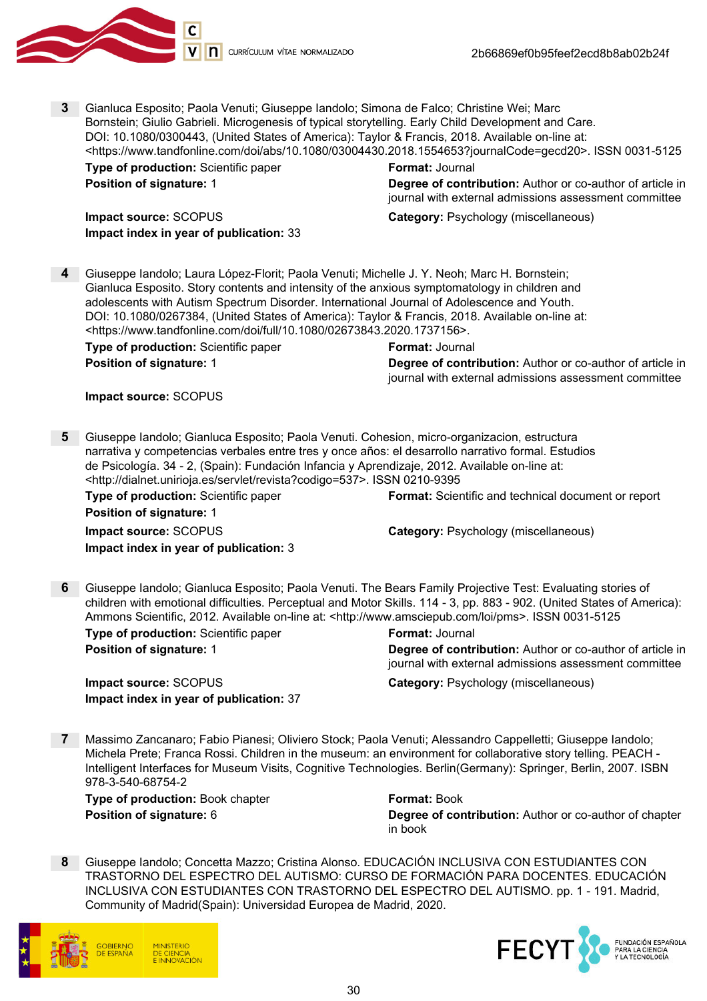

3 Gianluca Esposito; Paola Venuti; Giuseppe Iandolo; Simona de Falco; Christine Wei; Marc Bornstein; Giulio Gabrieli. Microgenesis of typical storytelling. Early Child Development and Care. DOI: 10.1080/0300443, (United States of America): Taylor & Francis, 2018. Available on-line at: <https://www.tandfonline.com/doi/abs/10.1080/03004430.2018.1554653?journalCode=gecd20>. ISSN 0031-5125 **Type of production:** Scientific paper Format: Journal **Position of signature: 1 Degree of contribution:** Author or co-author of article in journal with external admissions assessment committee

Impact index in year of publication: 33

Impact source: SCOPUS Category: Psychology (miscellaneous)

4 Giuseppe Iandolo; Laura López-Florit; Paola Venuti; Michelle J. Y. Neoh; Marc H. Bornstein; Gianluca Esposito. Story contents and intensity of the anxious symptomatology in children and adolescents with Autism Spectrum Disorder. International Journal of Adolescence and Youth. DOI: 10.1080/0267384, (United States of America): Taylor & Francis, 2018. Available on-line at: <https://www.tandfonline.com/doi/full/10.1080/02673843.2020.1737156>. **Type of production:** Scientific paper Format: Journal

**Position of signature: 1 Degree of contribution:** Author or co-author of article in journal with external admissions assessment committee

#### Impact source: SCOPUS

5 Giuseppe Iandolo; Gianluca Esposito; Paola Venuti. Cohesion, micro-organizacion, estructura narrativa y competencias verbales entre tres y once años: el desarrollo narrativo formal. Estudios de Psicología. 34 - 2, (Spain): Fundación Infancia y Aprendizaje, 2012. Available on-line at: <http://dialnet.unirioja.es/servlet/revista?codigo=537>. ISSN 0210-9395

**Type of production:** Scientific paper **Format:** Scientific and technical document or report Position of signature: 1

Impact source: SCOPUS Category: Psychology (miscellaneous)

Impact index in year of publication: 3

6 Giuseppe Iandolo; Gianluca Esposito; Paola Venuti. The Bears Family Projective Test: Evaluating stories of children with emotional difficulties. Perceptual and Motor Skills. 114 - 3, pp. 883 - 902. (United States of America): Ammons Scientific, 2012. Available on-line at: <http://www.amsciepub.com/loi/pms>. ISSN 0031-5125

**Type of production:** Scientific paper Format: Journal

Impact index in year of publication: 37

**Position of signature: 1 Degree of contribution:** Author or co-author of article in journal with external admissions assessment committee

**Impact source:** SCOPUS **Category: Psychology (miscellaneous)** 

7 Massimo Zancanaro; Fabio Pianesi; Oliviero Stock; Paola Venuti; Alessandro Cappelletti; Giuseppe Iandolo; Michela Prete; Franca Rossi. Children in the museum: an environment for collaborative story telling. PEACH - Intelligent Interfaces for Museum Visits, Cognitive Technologies. Berlin(Germany): Springer, Berlin, 2007. ISBN 978-3-540-68754-2

Type of production: Book chapter Format: Book

**Position of signature: 6 Contribution: Author of co-author of chapter Degree of contribution:** Author or co-author of chapter in book

8 Giuseppe Iandolo; Concetta Mazzo; Cristina Alonso. EDUCACIÓN INCLUSIVA CON ESTUDIANTES CON TRASTORNO DEL ESPECTRO DEL AUTISMO: CURSO DE FORMACIÓN PARA DOCENTES. EDUCACIÓN INCLUSIVA CON ESTUDIANTES CON TRASTORNO DEL ESPECTRO DEL AUTISMO. pp. 1 - 191. Madrid, Community of Madrid(Spain): Universidad Europea de Madrid, 2020.



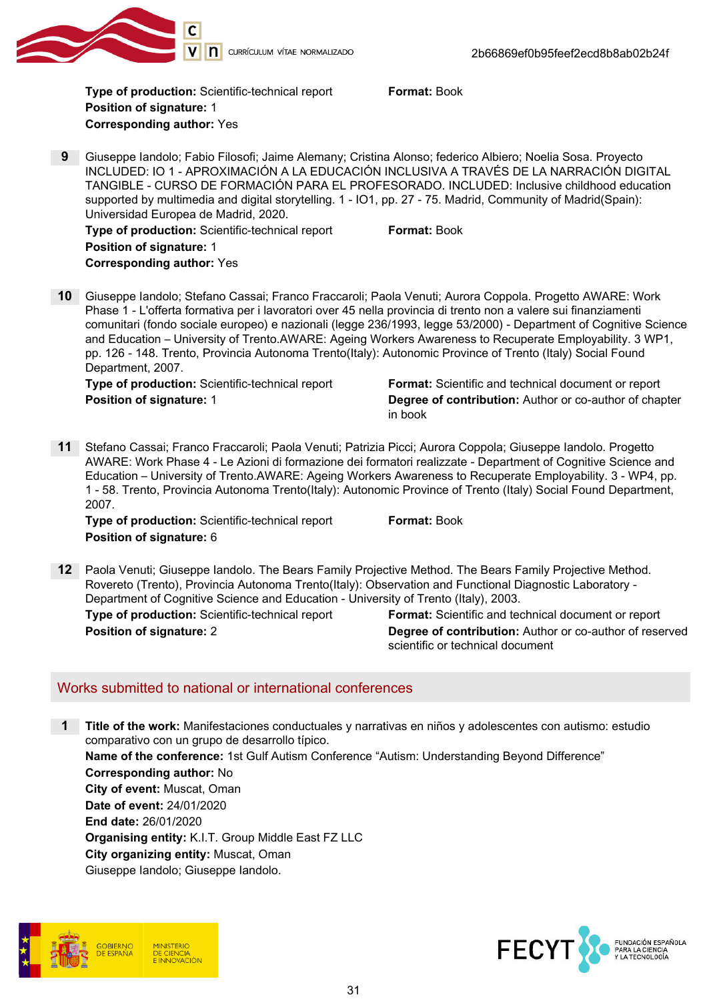

Tvpe of production: Scientific-technical report Format: Book Position of signature: 1 Corresponding author: Yes

9 Giuseppe Iandolo; Fabio Filosofi; Jaime Alemany; Cristina Alonso; federico Albiero; Noelia Sosa. Proyecto INCLUDED: IO 1 - APROXIMACIÓN A LA EDUCACIÓN INCLUSIVA A TRAVÉS DE LA NARRACIÓN DIGITAL TANGIBLE - CURSO DE FORMACIÓN PARA EL PROFESORADO. INCLUDED: Inclusive childhood education supported by multimedia and digital storytelling. 1 - IO1, pp. 27 - 75. Madrid, Community of Madrid(Spain): Universidad Europea de Madrid, 2020.

Type of production: Scientific-technical report Format: Book Position of signature: 1 Corresponding author: Yes

10 Giuseppe Iandolo; Stefano Cassai; Franco Fraccaroli; Paola Venuti; Aurora Coppola. Progetto AWARE: Work Phase 1 - L'offerta formativa per i lavoratori over 45 nella provincia di trento non a valere sui finanziamenti comunitari (fondo sociale europeo) e nazionali (legge 236/1993, legge 53/2000) - Department of Cognitive Science and Education – University of Trento.AWARE: Ageing Workers Awareness to Recuperate Employability. 3 WP1, pp. 126 - 148. Trento, Provincia Autonoma Trento(Italy): Autonomic Province of Trento (Italy) Social Found Department, 2007.

Type of production: Scientific-technical report Format: Scientific and technical document or report **Position of signature: 1 Degree of contribution:** Author or co-author of chapter in book

11 Stefano Cassai; Franco Fraccaroli; Paola Venuti; Patrizia Picci; Aurora Coppola; Giuseppe Iandolo. Progetto AWARE: Work Phase 4 - Le Azioni di formazione dei formatori realizzate - Department of Cognitive Science and Education – University of Trento.AWARE: Ageing Workers Awareness to Recuperate Employability. 3 - WP4, pp. 1 - 58. Trento, Provincia Autonoma Trento(Italy): Autonomic Province of Trento (Italy) Social Found Department, 2007.

**Type of production:** Scientific-technical report Format: Book Position of signature: 6

12 Paola Venuti; Giuseppe Iandolo. The Bears Family Projective Method. The Bears Family Projective Method. Rovereto (Trento), Provincia Autonoma Trento(Italy): Observation and Functional Diagnostic Laboratory - Department of Cognitive Science and Education - University of Trento (Italy), 2003.

Type of production: Scientific-technical report Format: Scientific and technical document or report **Position of signature: 2** Degree of contribution: Author or co-author of reserved scientific or technical document

# Works submitted to national or international conferences

1 Title of the work: Manifestaciones conductuales y narrativas en niños y adolescentes con autismo: estudio comparativo con un grupo de desarrollo típico. Name of the conference: 1st Gulf Autism Conference "Autism: Understanding Beyond Difference" Corresponding author: No City of event: Muscat, Oman Date of event: 24/01/2020 End date: 26/01/2020 Organising entity: K.I.T. Group Middle East FZ LLC City organizing entity: Muscat, Oman Giuseppe Iandolo; Giuseppe Iandolo.



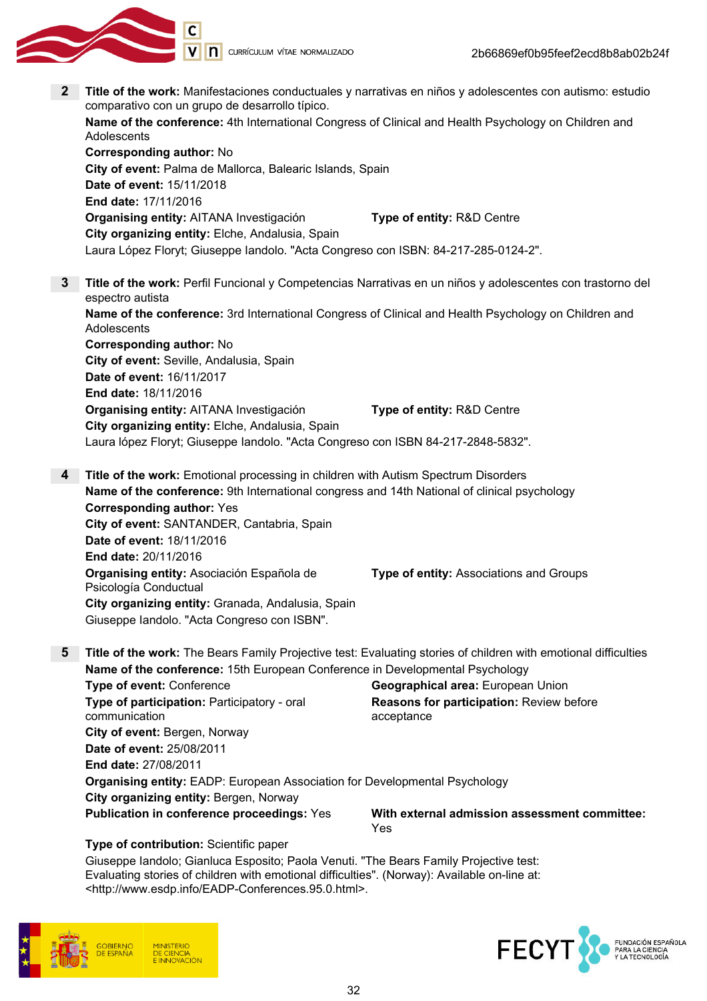V | **n** currículum vítae normalizado 2 Title of the work: Manifestaciones conductuales y narrativas en niños y adolescentes con autismo: estudio comparativo con un grupo de desarrollo típico. Name of the conference: 4th International Congress of Clinical and Health Psychology on Children and **Adolescents** Corresponding author: No City of event: Palma de Mallorca, Balearic Islands, Spain

Date of event: 15/11/2018 End date: 17/11/2016 Organising entity: AITANA Investigación Type of entity: R&D Centre City organizing entity: Elche, Andalusia, Spain Laura López Floryt; Giuseppe Iandolo. "Acta Congreso con ISBN: 84-217-285-0124-2".

- **3** Title of the work: Perfil Funcional y Competencias Narrativas en un niños y adolescentes con trastorno del espectro autista Name of the conference: 3rd International Congress of Clinical and Health Psychology on Children and **Adolescents** Corresponding author: No City of event: Seville, Andalusia, Spain Date of event: 16/11/2017 End date: 18/11/2016 Organising entity: AITANA Investigación Type of entity: R&D Centre City organizing entity: Elche, Andalusia, Spain Laura lópez Floryt; Giuseppe Iandolo. "Acta Congreso con ISBN 84-217-2848-5832".
- 4 Title of the work: Emotional processing in children with Autism Spectrum Disorders Name of the conference: 9th International congress and 14th National of clinical psychology Corresponding author: Yes City of event: SANTANDER, Cantabria, Spain Date of event: 18/11/2016 End date: 20/11/2016 Organising entity: Asociación Española de Psicología Conductual Type of entity: Associations and Groups City organizing entity: Granada, Andalusia, Spain Giuseppe Iandolo. "Acta Congreso con ISBN".
- 5 Title of the work: The Bears Family Projective test: Evaluating stories of children with emotional difficulties Name of the conference: 15th European Conference in Developmental Psychology

**Type of event:** Conference **Geographical area: European Union** Type of participation: Participatory - oral communication Reasons for participation: Review before acceptance City of event: Bergen, Norway Date of event: 25/08/2011 End date: 27/08/2011 Organising entity: EADP: European Association for Developmental Psychology City organizing entity: Bergen, Norway Publication in conference proceedings: Yes With external admission assessment committee:

Yes

#### Type of contribution: Scientific paper

Giuseppe Iandolo; Gianluca Esposito; Paola Venuti. "The Bears Family Projective test: Evaluating stories of children with emotional difficulties". (Norway): Available on-line at: <http://www.esdp.info/EADP-Conferences.95.0.html>.



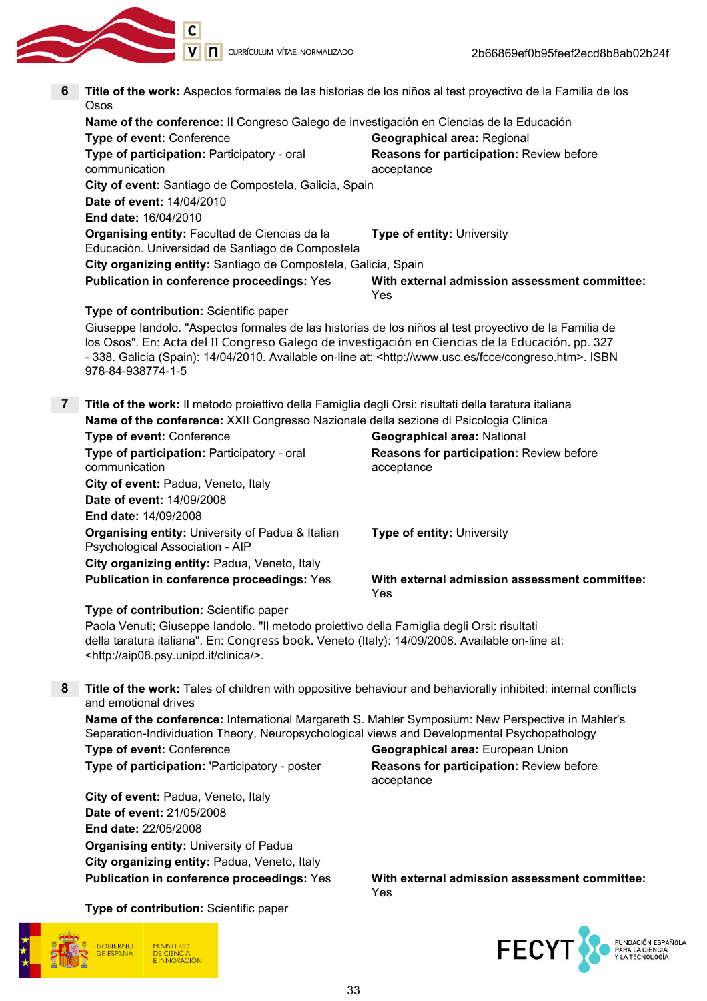

**C**<br> **V N** currículum vítae normalizado

| 6            | Title of the work: Aspectos formales de las historias de los niños al test proyectivo de la Familia de los<br>Osos                                                                                                                                                                                                                                        |                                                        |  |
|--------------|-----------------------------------------------------------------------------------------------------------------------------------------------------------------------------------------------------------------------------------------------------------------------------------------------------------------------------------------------------------|--------------------------------------------------------|--|
|              | Name of the conference: Il Congreso Galego de investigación en Ciencias de la Educación                                                                                                                                                                                                                                                                   |                                                        |  |
|              | Type of event: Conference                                                                                                                                                                                                                                                                                                                                 | <b>Geographical area: Regional</b>                     |  |
|              | Type of participation: Participatory - oral<br>communication                                                                                                                                                                                                                                                                                              | Reasons for participation: Review before<br>acceptance |  |
|              | City of event: Santiago de Compostela, Galicia, Spain                                                                                                                                                                                                                                                                                                     |                                                        |  |
|              | Date of event: 14/04/2010                                                                                                                                                                                                                                                                                                                                 |                                                        |  |
|              | End date: 16/04/2010                                                                                                                                                                                                                                                                                                                                      |                                                        |  |
|              | Organising entity: Facultad de Ciencias da la<br>Educación. Universidad de Santiago de Compostela                                                                                                                                                                                                                                                         | Type of entity: University                             |  |
|              | City organizing entity: Santiago de Compostela, Galicia, Spain                                                                                                                                                                                                                                                                                            |                                                        |  |
|              | <b>Publication in conference proceedings: Yes</b>                                                                                                                                                                                                                                                                                                         | With external admission assessment committee:<br>Yes   |  |
|              | Type of contribution: Scientific paper                                                                                                                                                                                                                                                                                                                    |                                                        |  |
|              | Giuseppe landolo. "Aspectos formales de las historias de los niños al test proyectivo de la Familia de<br>los Osos". En: Acta del II Congreso Galego de investigación en Ciencias de la Educación. pp. 327<br>- 338. Galicia (Spain): 14/04/2010. Available on-line at: <http: congreso.htm="" fcce="" www.usc.es="">. ISBN<br/>978-84-938774-1-5</http:> |                                                        |  |
|              |                                                                                                                                                                                                                                                                                                                                                           |                                                        |  |
| $\mathbf{7}$ | Title of the work: Il metodo proiettivo della Famiglia degli Orsi: risultati della taratura italiana<br>Name of the conference: XXII Congresso Nazionale della sezione di Psicologia Clinica                                                                                                                                                              |                                                        |  |
|              | Type of event: Conference                                                                                                                                                                                                                                                                                                                                 | <b>Geographical area: National</b>                     |  |
|              | Type of participation: Participatory - oral                                                                                                                                                                                                                                                                                                               | Reasons for participation: Review before               |  |
|              | communication                                                                                                                                                                                                                                                                                                                                             | acceptance                                             |  |
|              | City of event: Padua, Veneto, Italy                                                                                                                                                                                                                                                                                                                       |                                                        |  |
|              | Date of event: 14/09/2008                                                                                                                                                                                                                                                                                                                                 |                                                        |  |
|              | <b>End date: 14/09/2008</b>                                                                                                                                                                                                                                                                                                                               |                                                        |  |
|              | Organising entity: University of Padua & Italian<br>Psychological Association - AIP                                                                                                                                                                                                                                                                       | <b>Type of entity: University</b>                      |  |
|              | City organizing entity: Padua, Veneto, Italy                                                                                                                                                                                                                                                                                                              |                                                        |  |
|              | <b>Publication in conference proceedings: Yes</b>                                                                                                                                                                                                                                                                                                         | With external admission assessment committee:<br>Yes   |  |
|              | Type of contribution: Scientific paper                                                                                                                                                                                                                                                                                                                    |                                                        |  |
|              | Paola Venuti; Giuseppe Iandolo. "Il metodo proiettivo della Famiglia degli Orsi: risultati<br>della taratura italiana". En: Congress book. Veneto (Italy): 14/09/2008. Available on-line at:<br><http: aip08.psy.unipd.it="" clinica=""></http:> .                                                                                                        |                                                        |  |
| 8            | Title of the work: Tales of children with oppositive behaviour and behaviorally inhibited: internal conflicts                                                                                                                                                                                                                                             |                                                        |  |
|              | and emotional drives                                                                                                                                                                                                                                                                                                                                      |                                                        |  |
|              | Name of the conference: International Margareth S. Mahler Symposium: New Perspective in Mahler's                                                                                                                                                                                                                                                          |                                                        |  |
|              | Separation-Individuation Theory, Neuropsychological views and Developmental Psychopathology                                                                                                                                                                                                                                                               |                                                        |  |
|              | Type of event: Conference                                                                                                                                                                                                                                                                                                                                 | Geographical area: European Union                      |  |
|              | Type of participation: 'Participatory - poster                                                                                                                                                                                                                                                                                                            | Reasons for participation: Review before<br>acceptance |  |
|              | City of event: Padua, Veneto, Italy                                                                                                                                                                                                                                                                                                                       |                                                        |  |
|              | Date of event: 21/05/2008                                                                                                                                                                                                                                                                                                                                 |                                                        |  |
|              | End date: 22/05/2008                                                                                                                                                                                                                                                                                                                                      |                                                        |  |
|              | <b>Organising entity: University of Padua</b>                                                                                                                                                                                                                                                                                                             |                                                        |  |
|              | City organizing entity: Padua, Veneto, Italy                                                                                                                                                                                                                                                                                                              |                                                        |  |
|              | <b>Publication in conference proceedings: Yes</b>                                                                                                                                                                                                                                                                                                         | With external admission assessment committee:          |  |

Type of contribution: Scientific paper



Yes

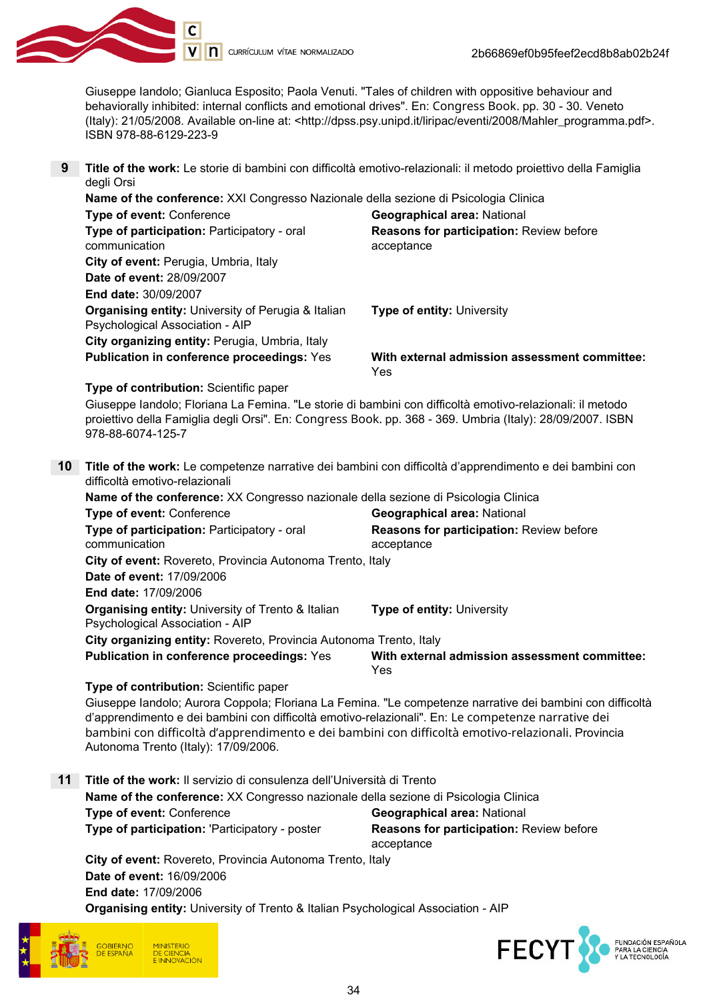

Giuseppe Iandolo; Gianluca Esposito; Paola Venuti. "Tales of children with oppositive behaviour and behaviorally inhibited: internal conflicts and emotional drives". En: Congress Book. pp. 30 - 30. Veneto (Italy): 21/05/2008. Available on-line at: <http://dpss.psy.unipd.it/liripac/eventi/2008/Mahler\_programma.pdf>. ISBN 978-88-6129-223-9

9 Title of the work: Le storie di bambini con difficoltà emotivo-relazionali: il metodo proiettivo della Famiglia degli Orsi

| Name of the conference: XXI Congresso Nazionale della sezione di Psicologia Clinica |                                                                                                  |                                                        |
|-------------------------------------------------------------------------------------|--------------------------------------------------------------------------------------------------|--------------------------------------------------------|
|                                                                                     | Type of event: Conference                                                                        | <b>Geographical area: National</b>                     |
|                                                                                     | Type of participation: Participatory - oral<br>communication                                     | Reasons for participation: Review before<br>acceptance |
|                                                                                     | City of event: Perugia, Umbria, Italy                                                            |                                                        |
|                                                                                     | Date of event: 28/09/2007                                                                        |                                                        |
|                                                                                     | <b>End date: 30/09/2007</b>                                                                      |                                                        |
|                                                                                     | <b>Organising entity: University of Perugia &amp; Italian</b><br>Psychological Association - AIP | <b>Type of entity: University</b>                      |
|                                                                                     | City organizing entity: Perugia, Umbria, Italy                                                   |                                                        |
|                                                                                     | <b>Publication in conference proceedings: Yes</b>                                                | With external admission assessment committee:<br>Yes   |

Type of contribution: Scientific paper

Giuseppe Iandolo; Floriana La Femina. "Le storie di bambini con difficoltà emotivo-relazionali: il metodo proiettivo della Famiglia degli Orsi". En: Congress Book. pp. 368 - 369. Umbria (Italy): 28/09/2007. ISBN 978-88-6074-125-7

10 Title of the work: Le competenze narrative dei bambini con difficoltà d'apprendimento e dei bambini con difficoltà emotivo-relazionali

Name of the conference: XX Congresso nazionale della sezione di Psicologia Clinica Type of event: Conference Geographical area: National Type of participation: Participatory - oral communication Reasons for participation: Review before acceptance City of event: Rovereto, Provincia Autonoma Trento, Italy Date of event: 17/09/2006 End date: 17/09/2006 Organising entity: University of Trento & Italian Psychological Association - AIP Type of entity: University City organizing entity: Rovereto, Provincia Autonoma Trento, Italy Publication in conference proceedings: Yes With external admission assessment committee: Yes

#### Type of contribution: Scientific paper

Giuseppe Iandolo; Aurora Coppola; Floriana La Femina. "Le competenze narrative dei bambini con difficoltà d'apprendimento e dei bambini con difficoltà emotivo-relazionali". En: Le competenze narrative dei bambini con difficoltà d'apprendimento e dei bambini con difficoltà emotivo-relazionali. Provincia Autonoma Trento (Italy): 17/09/2006.

11 Title of the work: Il servizio di consulenza dell'Università di Trento Name of the conference: XX Congresso nazionale della sezione di Psicologia Clinica **Type of event:** Conference Geographical area: National Type of participation: 'Participatory - poster Reasons for participation: Review before acceptance

City of event: Rovereto, Provincia Autonoma Trento, Italy Date of event: 16/09/2006 End date: 17/09/2006 Organising entity: University of Trento & Italian Psychological Association - AIP



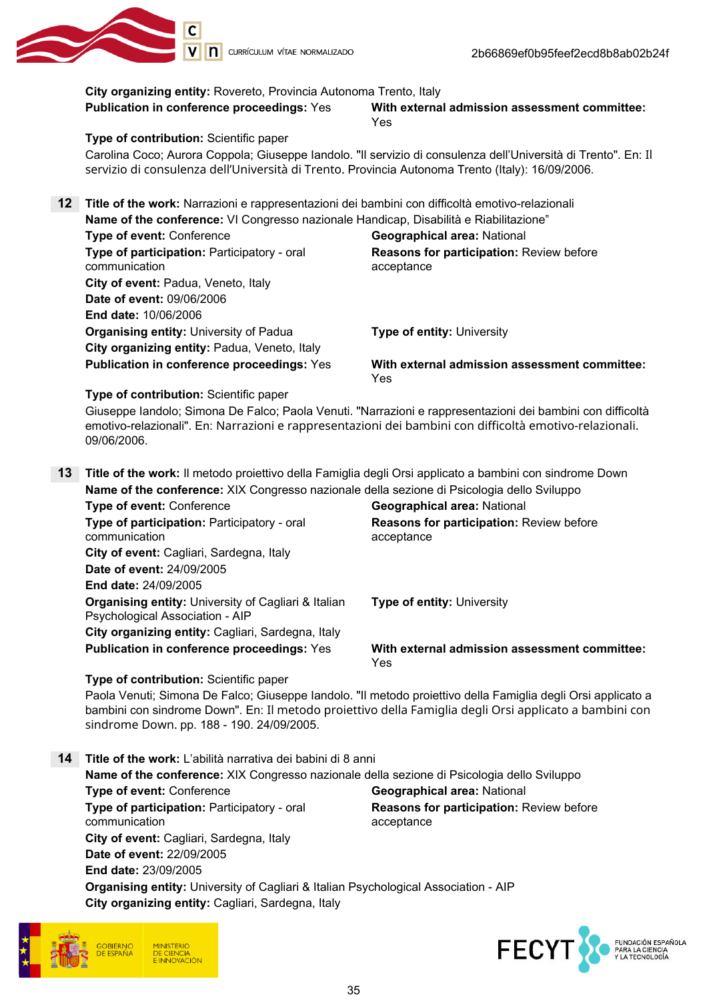

|    | City organizing entity: Rovereto, Provincia Autonoma Trento, Italy<br><b>Publication in conference proceedings: Yes</b>                                                                               | With external admission assessment committee:<br>Yes                                                                                                                                                                   |  |
|----|-------------------------------------------------------------------------------------------------------------------------------------------------------------------------------------------------------|------------------------------------------------------------------------------------------------------------------------------------------------------------------------------------------------------------------------|--|
|    | Type of contribution: Scientific paper                                                                                                                                                                |                                                                                                                                                                                                                        |  |
|    | servizio di consulenza dell'Università di Trento. Provincia Autonoma Trento (Italy): 16/09/2006.                                                                                                      | Carolina Coco; Aurora Coppola; Giuseppe Iandolo. "Il servizio di consulenza dell'Università di Trento". En: Il                                                                                                         |  |
| 12 | Title of the work: Narrazioni e rappresentazioni dei bambini con difficoltà emotivo-relazionali                                                                                                       |                                                                                                                                                                                                                        |  |
|    | Name of the conference: VI Congresso nazionale Handicap, Disabilità e Riabilitazione"                                                                                                                 |                                                                                                                                                                                                                        |  |
|    | Type of event: Conference                                                                                                                                                                             | Geographical area: National                                                                                                                                                                                            |  |
|    | Type of participation: Participatory - oral                                                                                                                                                           | Reasons for participation: Review before                                                                                                                                                                               |  |
|    | communication                                                                                                                                                                                         | acceptance                                                                                                                                                                                                             |  |
|    | City of event: Padua, Veneto, Italy                                                                                                                                                                   |                                                                                                                                                                                                                        |  |
|    | Date of event: 09/06/2006                                                                                                                                                                             |                                                                                                                                                                                                                        |  |
|    |                                                                                                                                                                                                       |                                                                                                                                                                                                                        |  |
|    | End date: 10/06/2006                                                                                                                                                                                  |                                                                                                                                                                                                                        |  |
|    | <b>Organising entity: University of Padua</b>                                                                                                                                                         | Type of entity: University                                                                                                                                                                                             |  |
|    | City organizing entity: Padua, Veneto, Italy                                                                                                                                                          |                                                                                                                                                                                                                        |  |
|    | <b>Publication in conference proceedings: Yes</b>                                                                                                                                                     | With external admission assessment committee:<br>Yes                                                                                                                                                                   |  |
|    | Type of contribution: Scientific paper                                                                                                                                                                |                                                                                                                                                                                                                        |  |
|    | emotivo-relazionali". En: Narrazioni e rappresentazioni dei bambini con difficoltà emotivo-relazionali.<br>09/06/2006.                                                                                | Giuseppe Iandolo; Simona De Falco; Paola Venuti. "Narrazioni e rappresentazioni dei bambini con difficoltà                                                                                                             |  |
| 13 | Title of the work: Il metodo proiettivo della Famiglia degli Orsi applicato a bambini con sindrome Down<br>Name of the conference: XIX Congresso nazionale della sezione di Psicologia dello Sviluppo |                                                                                                                                                                                                                        |  |
|    | Type of event: Conference                                                                                                                                                                             | Geographical area: National                                                                                                                                                                                            |  |
|    | Type of participation: Participatory - oral                                                                                                                                                           | Reasons for participation: Review before                                                                                                                                                                               |  |
|    | communication                                                                                                                                                                                         | acceptance                                                                                                                                                                                                             |  |
|    | City of event: Cagliari, Sardegna, Italy                                                                                                                                                              |                                                                                                                                                                                                                        |  |
|    | Date of event: 24/09/2005                                                                                                                                                                             |                                                                                                                                                                                                                        |  |
|    | End date: 24/09/2005                                                                                                                                                                                  |                                                                                                                                                                                                                        |  |
|    | Organising entity: University of Cagliari & Italian                                                                                                                                                   | Type of entity: University                                                                                                                                                                                             |  |
|    | Psychological Association - AIP                                                                                                                                                                       |                                                                                                                                                                                                                        |  |
|    | City organizing entity: Cagliari, Sardegna, Italy                                                                                                                                                     |                                                                                                                                                                                                                        |  |
|    | <b>Publication in conference proceedings: Yes</b>                                                                                                                                                     | With external admission assessment committee:<br>Yes                                                                                                                                                                   |  |
|    | Type of contribution: Scientific paper                                                                                                                                                                |                                                                                                                                                                                                                        |  |
|    | sindrome Down. pp. 188 - 190. 24/09/2005.                                                                                                                                                             | Paola Venuti; Simona De Falco; Giuseppe Iandolo. "Il metodo proiettivo della Famiglia degli Orsi applicato a<br>bambini con sindrome Down". En: Il metodo proiettivo della Famiglia degli Orsi applicato a bambini con |  |
|    |                                                                                                                                                                                                       |                                                                                                                                                                                                                        |  |
| 14 | Title of the work: L'abilità narrativa dei babini di 8 anni                                                                                                                                           |                                                                                                                                                                                                                        |  |
|    | Name of the conference: XIX Congresso nazionale della sezione di Psicologia dello Sviluppo                                                                                                            |                                                                                                                                                                                                                        |  |
|    | Type of event: Conference                                                                                                                                                                             | Geographical area: National                                                                                                                                                                                            |  |
|    | Type of participation: Participatory - oral                                                                                                                                                           | Reasons for participation: Review before                                                                                                                                                                               |  |
|    | communication                                                                                                                                                                                         | acceptance                                                                                                                                                                                                             |  |
|    | City of event: Cagliari, Sardegna, Italy                                                                                                                                                              |                                                                                                                                                                                                                        |  |
|    | Date of event: 22/09/2005                                                                                                                                                                             |                                                                                                                                                                                                                        |  |
|    | End date: 23/09/2005                                                                                                                                                                                  |                                                                                                                                                                                                                        |  |
|    | Organising entity: University of Cagliari & Italian Psychological Association - AIP                                                                                                                   |                                                                                                                                                                                                                        |  |
|    | City organizing entity: Cagliari, Sardegna, Italy                                                                                                                                                     |                                                                                                                                                                                                                        |  |



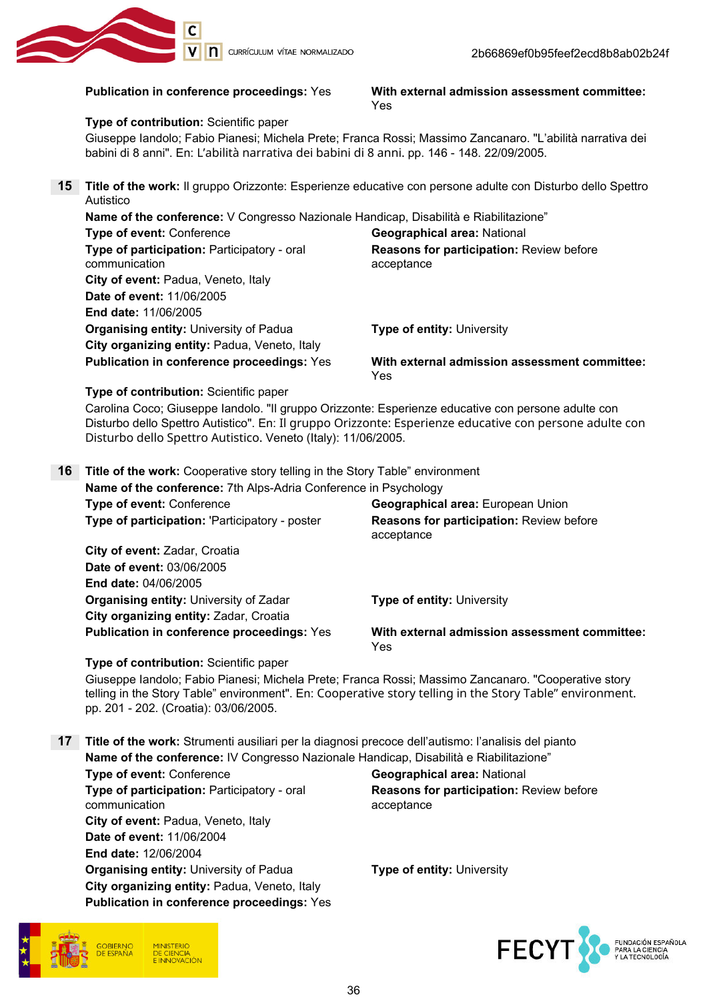

#### Publication in conference proceedings: Yes With external admission assessment committee: Yes

#### Type of contribution: Scientific paper

Giuseppe Iandolo; Fabio Pianesi; Michela Prete; Franca Rossi; Massimo Zancanaro. "L'abilità narrativa dei babini di 8 anni". En: L'abilità narrativa dei babini di 8 anni. pp. 146 - 148. 22/09/2005.

15 Title of the work: Il gruppo Orizzonte: Esperienze educative con persone adulte con Disturbo dello Spettro Autistico

| Name of the conference: V Congresso Nazionale Handicap, Disabilità e Riabilitazione" |                                                        |  |
|--------------------------------------------------------------------------------------|--------------------------------------------------------|--|
| Type of event: Conference                                                            | <b>Geographical area: National</b>                     |  |
| Type of participation: Participatory - oral<br>communication                         | Reasons for participation: Review before<br>acceptance |  |
| City of event: Padua, Veneto, Italy                                                  |                                                        |  |
| Date of event: 11/06/2005                                                            |                                                        |  |
| <b>End date: 11/06/2005</b>                                                          |                                                        |  |
| <b>Organising entity: University of Padua</b>                                        | <b>Type of entity: University</b>                      |  |
| City organizing entity: Padua, Veneto, Italy                                         |                                                        |  |
| <b>Publication in conference proceedings: Yes</b>                                    | With external admission assessment committee:<br>Yes   |  |

Type of contribution: Scientific paper

Carolina Coco; Giuseppe Iandolo. "Il gruppo Orizzonte: Esperienze educative con persone adulte con Disturbo dello Spettro Autistico". En: Il gruppo Orizzonte: Esperienze educative con persone adulte con Disturbo dello Spettro Autistico. Veneto (Italy): 11/06/2005.

16 Title of the work: Cooperative story telling in the Story Table" environment Name of the conference: 7th Alps-Adria Conference in Psychology Type of event: Conference Type area: European Union **Type of participation: 'Participatory - poster Reasons for participation: Review before** acceptance City of event: Zadar, Croatia Date of event: 03/06/2005 End date: 04/06/2005 **Organising entity: University of Zadar Type of entity: University** City organizing entity: Zadar, Croatia Publication in conference proceedings: Yes With external admission assessment committee: Yes

Type of contribution: Scientific paper

Giuseppe Iandolo; Fabio Pianesi; Michela Prete; Franca Rossi; Massimo Zancanaro. "Cooperative story telling in the Story Table" environment". En: Cooperative story telling in the Story Table" environment. pp. 201 - 202. (Croatia): 03/06/2005.

17 Title of the work: Strumenti ausiliari per la diagnosi precoce dell'autismo: l'analisis del pianto Name of the conference: IV Congresso Nazionale Handicap, Disabilità e Riabilitazione"

Type of event: Conference Geographical area: National Type of participation: Participatory - oral communication City of event: Padua, Veneto, Italy Date of event: 11/06/2004 End date: 12/06/2004 **Organising entity:** University of Padua Type of entity: University City organizing entity: Padua, Veneto, Italy Publication in conference proceedings: Yes



Reasons for participation: Review before acceptance

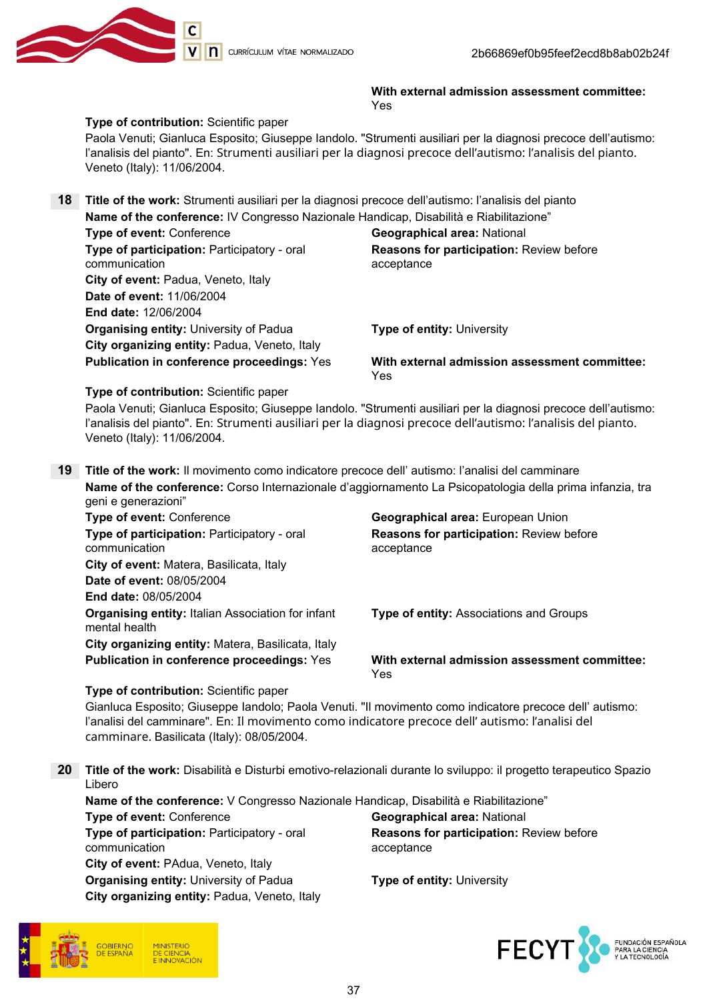

With external admission assessment committee: Yes

#### Type of contribution: Scientific paper

Paola Venuti; Gianluca Esposito; Giuseppe Iandolo. "Strumenti ausiliari per la diagnosi precoce dell'autismo: l'analisis del pianto". En: Strumenti ausiliari per la diagnosi precoce dell'autismo: l'analisis del pianto. Veneto (Italy): 11/06/2004.

|  | <b>18</b> Title of the work: Strumenti ausiliari per la diagnosi precoce dell'autismo: l'analisis del pianto<br>Name of the conference: IV Congresso Nazionale Handicap, Disabilità e Riabilitazione" |                                                        |
|--|-------------------------------------------------------------------------------------------------------------------------------------------------------------------------------------------------------|--------------------------------------------------------|
|  |                                                                                                                                                                                                       |                                                        |
|  | Type of event: Conference                                                                                                                                                                             | <b>Geographical area: National</b>                     |
|  | Type of participation: Participatory - oral<br>communication                                                                                                                                          | Reasons for participation: Review before<br>acceptance |
|  | City of event: Padua, Veneto, Italy                                                                                                                                                                   |                                                        |
|  | Date of event: 11/06/2004                                                                                                                                                                             |                                                        |
|  | <b>End date: 12/06/2004</b>                                                                                                                                                                           |                                                        |
|  | <b>Organising entity: University of Padua</b>                                                                                                                                                         | <b>Type of entity: University</b>                      |
|  | City organizing entity: Padua, Veneto, Italy                                                                                                                                                          |                                                        |
|  | <b>Publication in conference proceedings: Yes</b>                                                                                                                                                     | With external admission assessment committee:<br>Yes   |

Type of contribution: Scientific paper

Paola Venuti; Gianluca Esposito; Giuseppe Iandolo. "Strumenti ausiliari per la diagnosi precoce dell'autismo: l'analisis del pianto". En: Strumenti ausiliari per la diagnosi precoce dell'autismo: l'analisis del pianto. Veneto (Italy): 11/06/2004.

19 Title of the work: Il movimento como indicatore precoce dell' autismo: l'analisi del camminare Name of the conference: Corso Internazionale d'aggiornamento La Psicopatologia della prima infanzia, tra geni e generazioni"

| <b>Type of event: Conference</b>                                          | Geographical area: European Union                      |
|---------------------------------------------------------------------------|--------------------------------------------------------|
| Type of participation: Participatory - oral<br>communication              | Reasons for participation: Review before<br>acceptance |
| City of event: Matera, Basilicata, Italy                                  |                                                        |
| <b>Date of event: 08/05/2004</b>                                          |                                                        |
| <b>End date: 08/05/2004</b>                                               |                                                        |
| <b>Organising entity: Italian Association for infant</b><br>mental health | <b>Type of entity: Associations and Groups</b>         |
| City organizing entity: Matera, Basilicata, Italy                         |                                                        |
| <b>Publication in conference proceedings: Yes</b>                         | With external admission assessment committee:<br>Yes   |
|                                                                           |                                                        |

Type of contribution: Scientific paper

Gianluca Esposito; Giuseppe Iandolo; Paola Venuti. "Il movimento como indicatore precoce dell' autismo: l'analisi del camminare". En: Il movimento como indicatore precoce dell' autismo: l'analisi del camminare. Basilicata (Italy): 08/05/2004.

20 Title of the work: Disabilità e Disturbi emotivo-relazionali durante lo sviluppo: il progetto terapeutico Spazio Libero

Name of the conference: V Congresso Nazionale Handicap, Disabilità e Riabilitazione" **Type of event: Conference Conference Conservation** Geographical area: National Type of participation: Participatory - oral communication Reasons for participation: Review before acceptance City of event: PAdua, Veneto, Italy **Organising entity: University of Padua Type of entity: University** City organizing entity: Padua, Veneto, Italy



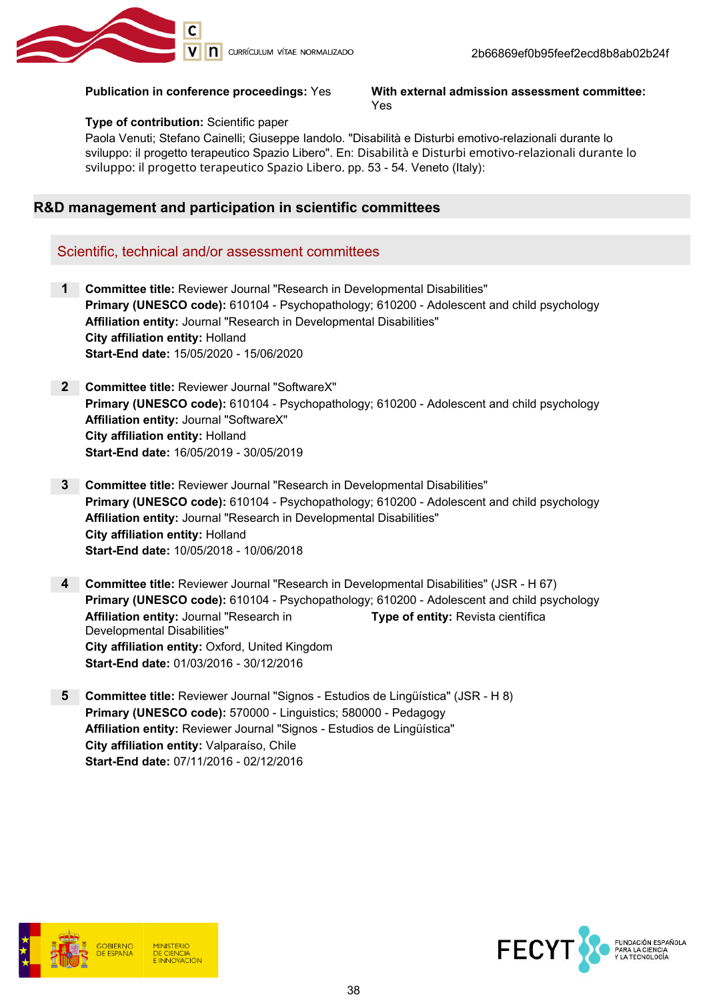

#### Publication in conference proceedings: Yes With external admission assessment committee: Yes

#### Type of contribution: Scientific paper

Paola Venuti; Stefano Cainelli; Giuseppe Iandolo. "Disabilità e Disturbi emotivo-relazionali durante lo sviluppo: il progetto terapeutico Spazio Libero". En: Disabilità e Disturbi emotivo-relazionali durante lo sviluppo: il progetto terapeutico Spazio Libero. pp. 53 - 54. Veneto (Italy):

#### R&D management and participation in scientific committees

#### Scientific, technical and/or assessment committees

- 1 Committee title: Reviewer Journal "Research in Developmental Disabilities" Primary (UNESCO code): 610104 - Psychopathology; 610200 - Adolescent and child psychology Affiliation entity: Journal "Research in Developmental Disabilities" City affiliation entity: Holland Start-End date: 15/05/2020 - 15/06/2020
- 2 Committee title: Reviewer Journal "SoftwareX" Primary (UNESCO code): 610104 - Psychopathology; 610200 - Adolescent and child psychology Affiliation entity: Journal "SoftwareX" City affiliation entity: Holland Start-End date: 16/05/2019 - 30/05/2019
- 3 Committee title: Reviewer Journal "Research in Developmental Disabilities" Primary (UNESCO code): 610104 - Psychopathology; 610200 - Adolescent and child psychology Affiliation entity: Journal "Research in Developmental Disabilities" City affiliation entity: Holland Start-End date: 10/05/2018 - 10/06/2018
- 4 Committee title: Reviewer Journal "Research in Developmental Disabilities" (JSR H 67) Primary (UNESCO code): 610104 - Psychopathology; 610200 - Adolescent and child psychology Affiliation entity: Journal "Research in Developmental Disabilities" Type of entity: Revista científica City affiliation entity: Oxford, United Kingdom Start-End date: 01/03/2016 - 30/12/2016
- 5 Committee title: Reviewer Journal "Signos Estudios de Lingüística" (JSR H 8) Primary (UNESCO code): 570000 - Linguistics; 580000 - Pedagogy Affiliation entity: Reviewer Journal "Signos - Estudios de Lingüística" City affiliation entity: Valparaíso, Chile Start-End date: 07/11/2016 - 02/12/2016